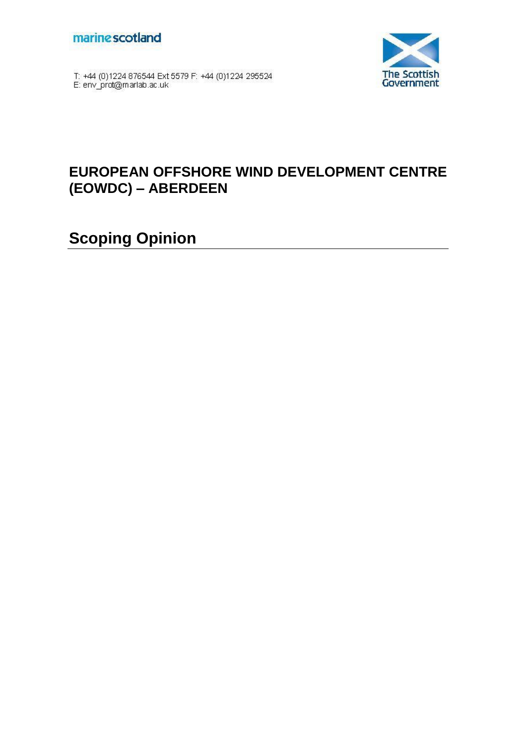



T: +44 (0)1224 876544 Ext 5579 F: +44 (0)1224 295524<br>E: env\_prot@marlab.ac.uk

# **EUROPEAN OFFSHORE WIND DEVELOPMENT CENTRE (EOWDC) – ABERDEEN**

**Scoping Opinion**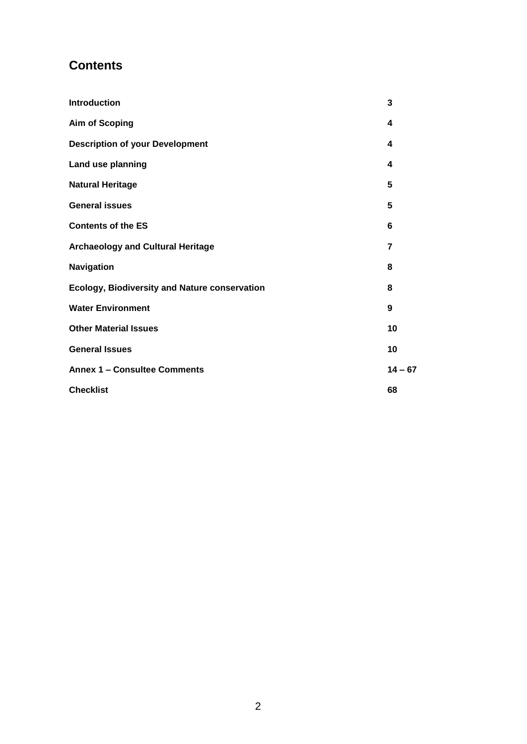# **Contents**

| Introduction                                         | 3         |
|------------------------------------------------------|-----------|
| <b>Aim of Scoping</b>                                | 4         |
| <b>Description of your Development</b>               | 4         |
| Land use planning                                    | 4         |
| <b>Natural Heritage</b>                              | 5         |
| <b>General issues</b>                                | 5         |
| <b>Contents of the ES</b>                            | 6         |
| <b>Archaeology and Cultural Heritage</b>             | 7         |
| Navigation                                           | 8         |
| <b>Ecology, Biodiversity and Nature conservation</b> | 8         |
| <b>Water Environment</b>                             | 9         |
| <b>Other Material Issues</b>                         | 10        |
| <b>General Issues</b>                                | 10        |
| <b>Annex 1 - Consultee Comments</b>                  | $14 - 67$ |
| <b>Checklist</b>                                     | 68        |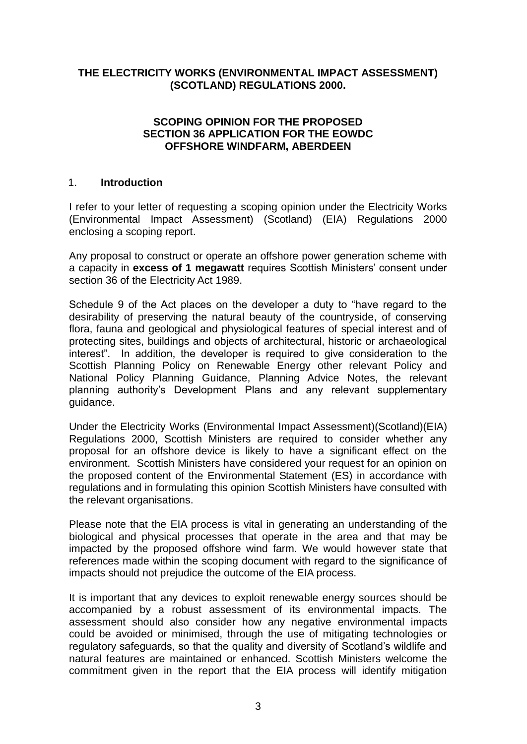## **THE ELECTRICITY WORKS (ENVIRONMENTAL IMPACT ASSESSMENT) (SCOTLAND) REGULATIONS 2000.**

## **SCOPING OPINION FOR THE PROPOSED SECTION 36 APPLICATION FOR THE EOWDC OFFSHORE WINDFARM, ABERDEEN**

### 1. **Introduction**

I refer to your letter of requesting a scoping opinion under the Electricity Works (Environmental Impact Assessment) (Scotland) (EIA) Regulations 2000 enclosing a scoping report.

Any proposal to construct or operate an offshore power generation scheme with a capacity in **excess of 1 megawatt** requires Scottish Ministers" consent under section 36 of the Electricity Act 1989.

Schedule 9 of the Act places on the developer a duty to "have regard to the desirability of preserving the natural beauty of the countryside, of conserving flora, fauna and geological and physiological features of special interest and of protecting sites, buildings and objects of architectural, historic or archaeological interest". In addition, the developer is required to give consideration to the Scottish Planning Policy on Renewable Energy other relevant Policy and National Policy Planning Guidance, Planning Advice Notes, the relevant planning authority"s Development Plans and any relevant supplementary guidance.

Under the Electricity Works (Environmental Impact Assessment)(Scotland)(EIA) Regulations 2000, Scottish Ministers are required to consider whether any proposal for an offshore device is likely to have a significant effect on the environment. Scottish Ministers have considered your request for an opinion on the proposed content of the Environmental Statement (ES) in accordance with regulations and in formulating this opinion Scottish Ministers have consulted with the relevant organisations.

Please note that the EIA process is vital in generating an understanding of the biological and physical processes that operate in the area and that may be impacted by the proposed offshore wind farm. We would however state that references made within the scoping document with regard to the significance of impacts should not prejudice the outcome of the EIA process.

It is important that any devices to exploit renewable energy sources should be accompanied by a robust assessment of its environmental impacts. The assessment should also consider how any negative environmental impacts could be avoided or minimised, through the use of mitigating technologies or regulatory safeguards, so that the quality and diversity of Scotland"s wildlife and natural features are maintained or enhanced. Scottish Ministers welcome the commitment given in the report that the EIA process will identify mitigation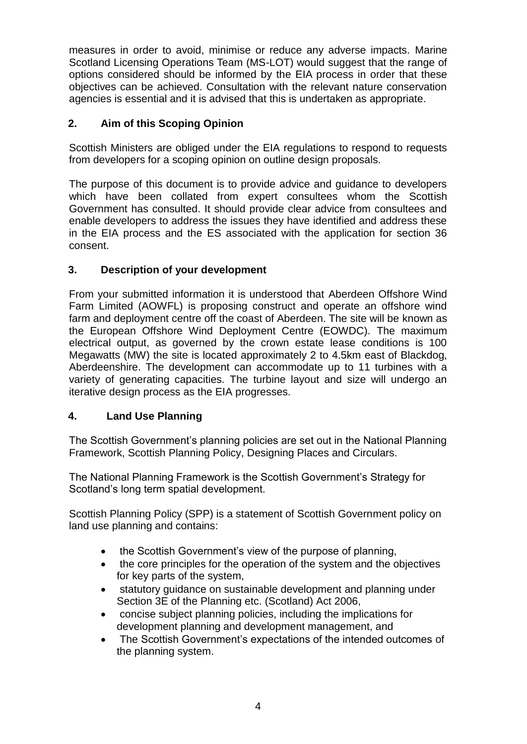measures in order to avoid, minimise or reduce any adverse impacts. Marine Scotland Licensing Operations Team (MS-LOT) would suggest that the range of options considered should be informed by the EIA process in order that these objectives can be achieved. Consultation with the relevant nature conservation agencies is essential and it is advised that this is undertaken as appropriate.

# **2. Aim of this Scoping Opinion**

Scottish Ministers are obliged under the EIA regulations to respond to requests from developers for a scoping opinion on outline design proposals.

The purpose of this document is to provide advice and guidance to developers which have been collated from expert consultees whom the Scottish Government has consulted. It should provide clear advice from consultees and enable developers to address the issues they have identified and address these in the EIA process and the ES associated with the application for section 36 consent.

# **3. Description of your development**

From your submitted information it is understood that Aberdeen Offshore Wind Farm Limited (AOWFL) is proposing construct and operate an offshore wind farm and deployment centre off the coast of Aberdeen. The site will be known as the European Offshore Wind Deployment Centre (EOWDC). The maximum electrical output, as governed by the crown estate lease conditions is 100 Megawatts (MW) the site is located approximately 2 to 4.5km east of Blackdog, Aberdeenshire. The development can accommodate up to 11 turbines with a variety of generating capacities. The turbine layout and size will undergo an iterative design process as the EIA progresses.

# **4. Land Use Planning**

The Scottish Government"s planning policies are set out in the National Planning Framework, Scottish Planning Policy, Designing Places and Circulars.

The National Planning Framework is the Scottish Government"s Strategy for Scotland"s long term spatial development.

Scottish Planning Policy (SPP) is a statement of Scottish Government policy on land use planning and contains:

- the Scottish Government's view of the purpose of planning,
- the core principles for the operation of the system and the objectives for key parts of the system,
- statutory guidance on sustainable development and planning under Section 3E of the Planning etc. (Scotland) Act 2006,
- concise subject planning policies, including the implications for development planning and development management, and
- The Scottish Government's expectations of the intended outcomes of the planning system.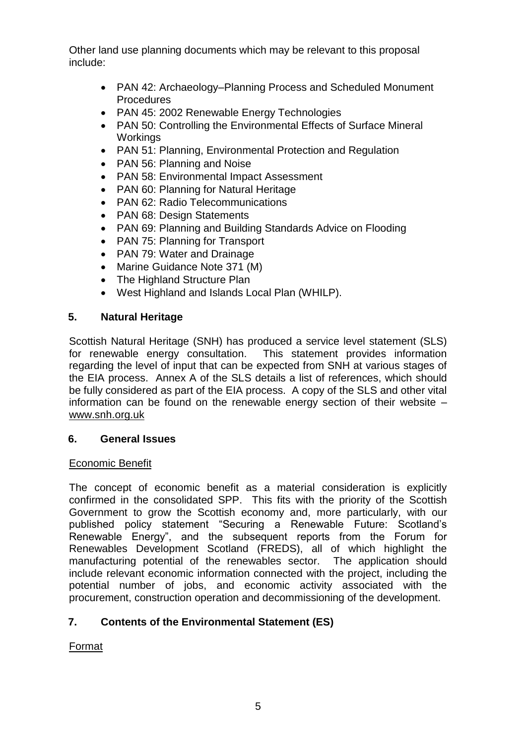Other land use planning documents which may be relevant to this proposal include:

- PAN 42: Archaeology–Planning Process and Scheduled Monument Procedures
- PAN 45: 2002 Renewable Energy Technologies
- PAN 50: Controlling the Environmental Effects of Surface Mineral **Workings**
- PAN 51: Planning, Environmental Protection and Regulation
- PAN 56: Planning and Noise
- PAN 58: Environmental Impact Assessment
- PAN 60: Planning for Natural Heritage
- PAN 62: Radio Telecommunications
- PAN 68: Design Statements
- PAN 69: Planning and Building Standards Advice on Flooding
- PAN 75: Planning for Transport
- PAN 79: Water and Drainage
- Marine Guidance Note 371 (M)
- The Highland Structure Plan
- West Highland and Islands Local Plan (WHILP).

# **5. Natural Heritage**

Scottish Natural Heritage (SNH) has produced a service level statement (SLS) for renewable energy consultation. This statement provides information regarding the level of input that can be expected from SNH at various stages of the EIA process. Annex A of the SLS details a list of references, which should be fully considered as part of the EIA process. A copy of the SLS and other vital information can be found on the renewable energy section of their website – [www.snh.org.uk](file:///C:/Users/FIDDILI/Desktop/www.snh.org.uk)

# **6. General Issues**

# Economic Benefit

The concept of economic benefit as a material consideration is explicitly confirmed in the consolidated SPP. This fits with the priority of the Scottish Government to grow the Scottish economy and, more particularly, with our published policy statement "Securing a Renewable Future: Scotland"s Renewable Energy", and the subsequent reports from the Forum for Renewables Development Scotland (FREDS), all of which highlight the manufacturing potential of the renewables sector. The application should include relevant economic information connected with the project, including the potential number of jobs, and economic activity associated with the procurement, construction operation and decommissioning of the development.

# **7. Contents of the Environmental Statement (ES)**

# Format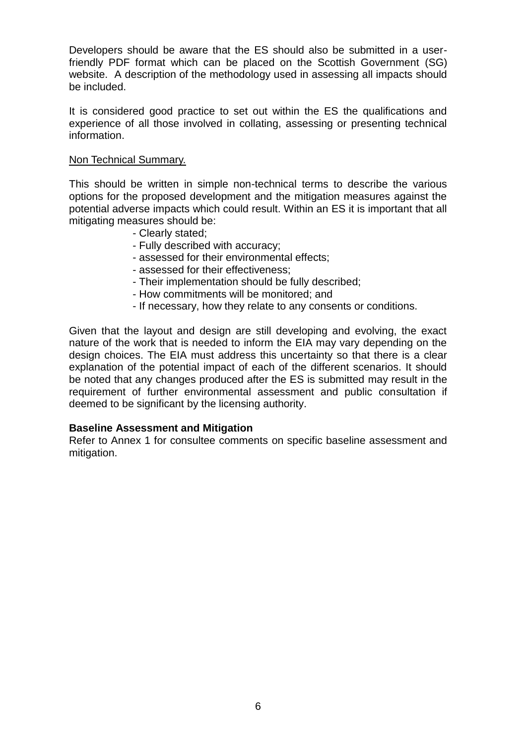Developers should be aware that the ES should also be submitted in a userfriendly PDF format which can be placed on the Scottish Government (SG) website. A description of the methodology used in assessing all impacts should be included.

It is considered good practice to set out within the ES the qualifications and experience of all those involved in collating, assessing or presenting technical information.

### Non Technical Summary.

This should be written in simple non-technical terms to describe the various options for the proposed development and the mitigation measures against the potential adverse impacts which could result. Within an ES it is important that all mitigating measures should be:

- Clearly stated;
- Fully described with accuracy;
- assessed for their environmental effects;
- assessed for their effectiveness;
- Their implementation should be fully described;
- How commitments will be monitored; and
- If necessary, how they relate to any consents or conditions.

Given that the layout and design are still developing and evolving, the exact nature of the work that is needed to inform the EIA may vary depending on the design choices. The EIA must address this uncertainty so that there is a clear explanation of the potential impact of each of the different scenarios. It should be noted that any changes produced after the ES is submitted may result in the requirement of further environmental assessment and public consultation if deemed to be significant by the licensing authority.

#### **Baseline Assessment and Mitigation**

Refer to Annex 1 for consultee comments on specific baseline assessment and mitigation.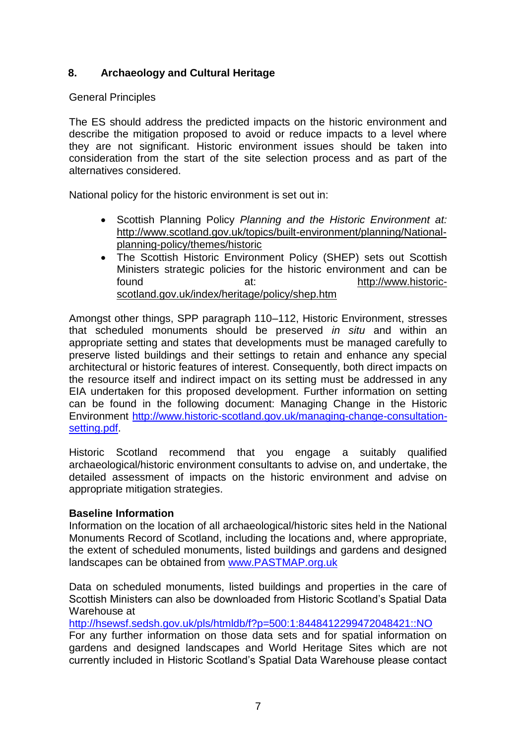# **8. Archaeology and Cultural Heritage**

## General Principles

The ES should address the predicted impacts on the historic environment and describe the mitigation proposed to avoid or reduce impacts to a level where they are not significant. Historic environment issues should be taken into consideration from the start of the site selection process and as part of the alternatives considered.

National policy for the historic environment is set out in:

- Scottish Planning Policy *Planning and the Historic Environment at:* [http://www.scotland.gov.uk/topics/built-environment/planning/National](http://www.scotland.gov.uk/Topics/Built-Environment/planning/National-Planning-Policy/themes/historic)[planning-policy/themes/historic](http://www.scotland.gov.uk/Topics/Built-Environment/planning/National-Planning-Policy/themes/historic)
- The Scottish Historic Environment Policy (SHEP) sets out Scottish Ministers strategic policies for the historic environment and can be found at: at: [http://www.historic](http://www.historic-scotland.gov.uk/index/heritage/policy/shep.htm)[scotland.gov.uk/index/heritage/policy/shep.htm](http://www.historic-scotland.gov.uk/index/heritage/policy/shep.htm)

Amongst other things, SPP paragraph 110–112, Historic Environment, stresses that scheduled monuments should be preserved *in situ* and within an appropriate setting and states that developments must be managed carefully to preserve listed buildings and their settings to retain and enhance any special architectural or historic features of interest. Consequently, both direct impacts on the resource itself and indirect impact on its setting must be addressed in any EIA undertaken for this proposed development. Further information on setting can be found in the following document: Managing Change in the Historic Environment [http://www.historic-scotland.gov.uk/managing-change-consultation](http://www.historic-scotland.gov.uk/managing-change-consultation-setting.pdf)[setting.pdf.](http://www.historic-scotland.gov.uk/managing-change-consultation-setting.pdf)

Historic Scotland recommend that you engage a suitably qualified archaeological/historic environment consultants to advise on, and undertake, the detailed assessment of impacts on the historic environment and advise on appropriate mitigation strategies.

## **Baseline Information**

Information on the location of all archaeological/historic sites held in the National Monuments Record of Scotland, including the locations and, where appropriate, the extent of scheduled monuments, listed buildings and gardens and designed landscapes can be obtained from [www.PASTMAP.org.uk](http://www.pastmap.org.uk/)

Data on scheduled monuments, listed buildings and properties in the care of Scottish Ministers can also be downloaded from Historic Scotland"s Spatial Data Warehouse at

<http://hsewsf.sedsh.gov.uk/pls/htmldb/f?p=500:1:8448412299472048421::NO>

For any further information on those data sets and for spatial information on gardens and designed landscapes and World Heritage Sites which are not currently included in Historic Scotland"s Spatial Data Warehouse please contact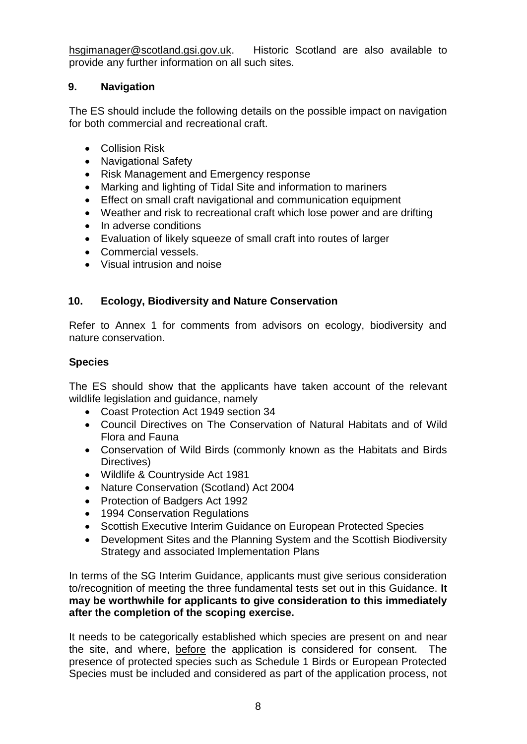[hsgimanager@scotland.gsi.gov.uk.](mailto:hsgimanager@scotland.gsi.gov.uk) Historic Scotland are also available to provide any further information on all such sites.

# **9. Navigation**

The ES should include the following details on the possible impact on navigation for both commercial and recreational craft.

- Collision Risk
- Navigational Safety
- Risk Management and Emergency response
- Marking and lighting of Tidal Site and information to mariners
- Effect on small craft navigational and communication equipment
- Weather and risk to recreational craft which lose power and are drifting
- In adverse conditions
- Evaluation of likely squeeze of small craft into routes of larger
- Commercial vessels.
- Visual intrusion and noise

# **10. Ecology, Biodiversity and Nature Conservation**

Refer to Annex 1 for comments from advisors on ecology, biodiversity and nature conservation.

# **Species**

The ES should show that the applicants have taken account of the relevant wildlife legislation and guidance, namely

- Coast Protection Act 1949 section 34
- Council Directives on The Conservation of Natural Habitats and of Wild Flora and Fauna
- Conservation of Wild Birds (commonly known as the Habitats and Birds Directives)
- Wildlife & Countryside Act 1981
- Nature Conservation (Scotland) Act 2004
- Protection of Badgers Act 1992
- 1994 Conservation Regulations
- Scottish Executive Interim Guidance on European Protected Species
- Development Sites and the Planning System and the Scottish Biodiversity Strategy and associated Implementation Plans

In terms of the SG Interim Guidance, applicants must give serious consideration to/recognition of meeting the three fundamental tests set out in this Guidance. **It may be worthwhile for applicants to give consideration to this immediately after the completion of the scoping exercise.**

It needs to be categorically established which species are present on and near the site, and where, before the application is considered for consent. The presence of protected species such as Schedule 1 Birds or European Protected Species must be included and considered as part of the application process, not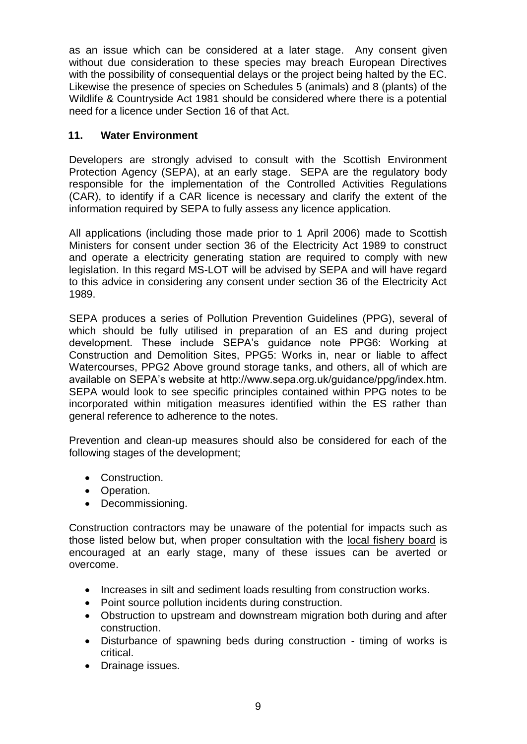as an issue which can be considered at a later stage. Any consent given without due consideration to these species may breach European Directives with the possibility of consequential delays or the project being halted by the EC. Likewise the presence of species on Schedules 5 (animals) and 8 (plants) of the Wildlife & Countryside Act 1981 should be considered where there is a potential need for a licence under Section 16 of that Act.

# **11. Water Environment**

Developers are strongly advised to consult with the Scottish Environment Protection Agency (SEPA), at an early stage. SEPA are the regulatory body responsible for the implementation of the Controlled Activities Regulations (CAR), to identify if a CAR licence is necessary and clarify the extent of the information required by SEPA to fully assess any licence application.

All applications (including those made prior to 1 April 2006) made to Scottish Ministers for consent under section 36 of the Electricity Act 1989 to construct and operate a electricity generating station are required to comply with new legislation. In this regard MS-LOT will be advised by SEPA and will have regard to this advice in considering any consent under section 36 of the Electricity Act 1989.

SEPA produces a series of Pollution Prevention Guidelines (PPG), several of which should be fully utilised in preparation of an ES and during project development. These include SEPA"s guidance note PPG6: Working at Construction and Demolition Sites, PPG5: Works in, near or liable to affect Watercourses, PPG2 Above ground storage tanks, and others, all of which are available on SEPA's website at http://www.sepa.org.uk/guidance/ppg/index.htm. SEPA would look to see specific principles contained within PPG notes to be incorporated within mitigation measures identified within the ES rather than general reference to adherence to the notes.

Prevention and clean-up measures should also be considered for each of the following stages of the development;

- Construction.
- Operation.
- Decommissioning.

Construction contractors may be unaware of the potential for impacts such as those listed below but, when proper consultation with the local fishery board is encouraged at an early stage, many of these issues can be averted or overcome.

- Increases in silt and sediment loads resulting from construction works.
- Point source pollution incidents during construction.
- Obstruction to upstream and downstream migration both during and after construction.
- Disturbance of spawning beds during construction timing of works is critical.
- Drainage issues.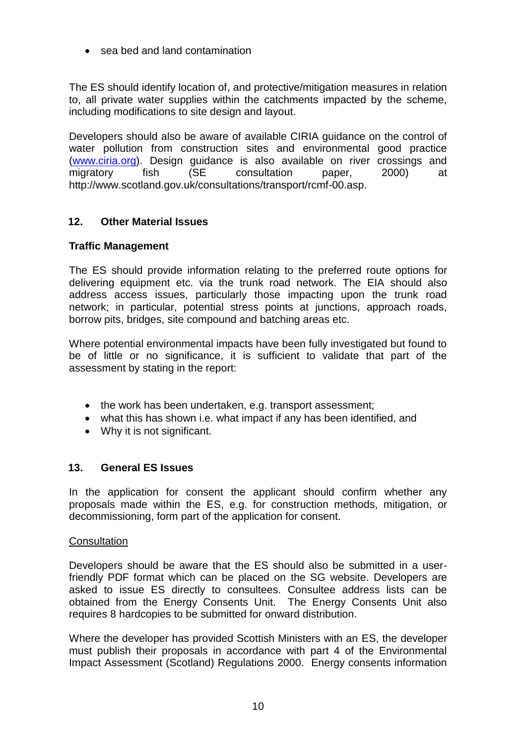sea bed and land contamination

The ES should identify location of, and protective/mitigation measures in relation to, all private water supplies within the catchments impacted by the scheme, including modifications to site design and layout.

Developers should also be aware of available CIRIA guidance on the control of water pollution from construction sites and environmental good practice [\(www.ciria.org\)](http://www.ciria.org/). Design guidance is also available on river crossings and migratory fish (SE consultation paper, 2000) at [http://www.scotland.gov.uk/consultations/transport/rcmf-00.asp.](http://www.scotland.gov.uk/consultations/transport/rcmf-00.asp)

# **12. Other Material Issues**

# **Traffic Management**

The ES should provide information relating to the preferred route options for delivering equipment etc. via the trunk road network. The EIA should also address access issues, particularly those impacting upon the trunk road network; in particular, potential stress points at junctions, approach roads, borrow pits, bridges, site compound and batching areas etc.

Where potential environmental impacts have been fully investigated but found to be of little or no significance, it is sufficient to validate that part of the assessment by stating in the report:

- the work has been undertaken, e.g. transport assessment;
- what this has shown i.e. what impact if any has been identified, and
- Why it is not significant.

# **13. General ES Issues**

In the application for consent the applicant should confirm whether any proposals made within the ES, e.g. for construction methods, mitigation, or decommissioning, form part of the application for consent.

## **Consultation**

Developers should be aware that the ES should also be submitted in a userfriendly PDF format which can be placed on the SG website. Developers are asked to issue ES directly to consultees. Consultee address lists can be obtained from the Energy Consents Unit. The Energy Consents Unit also requires 8 hardcopies to be submitted for onward distribution.

Where the developer has provided Scottish Ministers with an ES, the developer must publish their proposals in accordance with part 4 of the Environmental Impact Assessment (Scotland) Regulations 2000. Energy consents information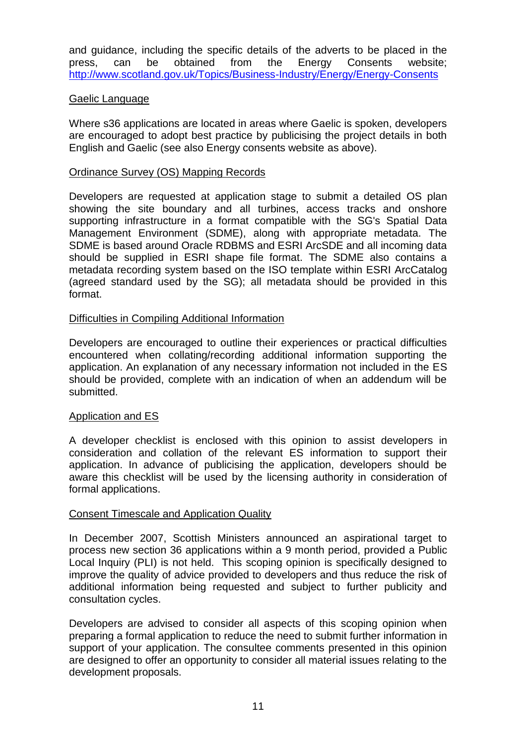and guidance, including the specific details of the adverts to be placed in the press, can be obtained from the Energy Consents website; <http://www.scotland.gov.uk/Topics/Business-Industry/Energy/Energy-Consents>

## Gaelic Language

Where s36 applications are located in areas where Gaelic is spoken, developers are encouraged to adopt best practice by publicising the project details in both English and Gaelic (see also Energy consents website as above).

### Ordinance Survey (OS) Mapping Records

Developers are requested at application stage to submit a detailed OS plan showing the site boundary and all turbines, access tracks and onshore supporting infrastructure in a format compatible with the SG's Spatial Data Management Environment (SDME), along with appropriate metadata. The SDME is based around Oracle RDBMS and ESRI ArcSDE and all incoming data should be supplied in ESRI shape file format. The SDME also contains a metadata recording system based on the ISO template within ESRI ArcCatalog (agreed standard used by the SG); all metadata should be provided in this format.

## Difficulties in Compiling Additional Information

Developers are encouraged to outline their experiences or practical difficulties encountered when collating/recording additional information supporting the application. An explanation of any necessary information not included in the ES should be provided, complete with an indication of when an addendum will be submitted.

### Application and ES

A developer checklist is enclosed with this opinion to assist developers in consideration and collation of the relevant ES information to support their application. In advance of publicising the application, developers should be aware this checklist will be used by the licensing authority in consideration of formal applications.

### Consent Timescale and Application Quality

In December 2007, Scottish Ministers announced an aspirational target to process new section 36 applications within a 9 month period, provided a Public Local Inquiry (PLI) is not held. This scoping opinion is specifically designed to improve the quality of advice provided to developers and thus reduce the risk of additional information being requested and subject to further publicity and consultation cycles.

Developers are advised to consider all aspects of this scoping opinion when preparing a formal application to reduce the need to submit further information in support of your application. The consultee comments presented in this opinion are designed to offer an opportunity to consider all material issues relating to the development proposals.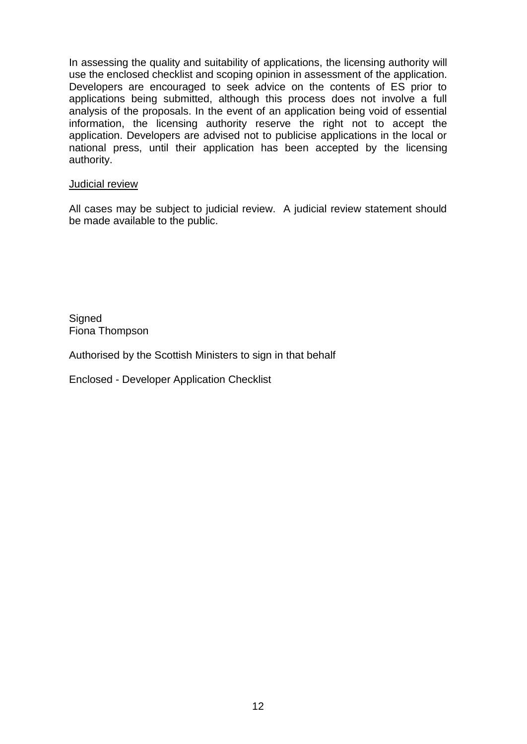In assessing the quality and suitability of applications, the licensing authority will use the enclosed checklist and scoping opinion in assessment of the application. Developers are encouraged to seek advice on the contents of ES prior to applications being submitted, although this process does not involve a full analysis of the proposals. In the event of an application being void of essential information, the licensing authority reserve the right not to accept the application. Developers are advised not to publicise applications in the local or national press, until their application has been accepted by the licensing authority.

### Judicial review

All cases may be subject to judicial review. A judicial review statement should be made available to the public.

**Signed** Fiona Thompson

Authorised by the Scottish Ministers to sign in that behalf

Enclosed - Developer Application Checklist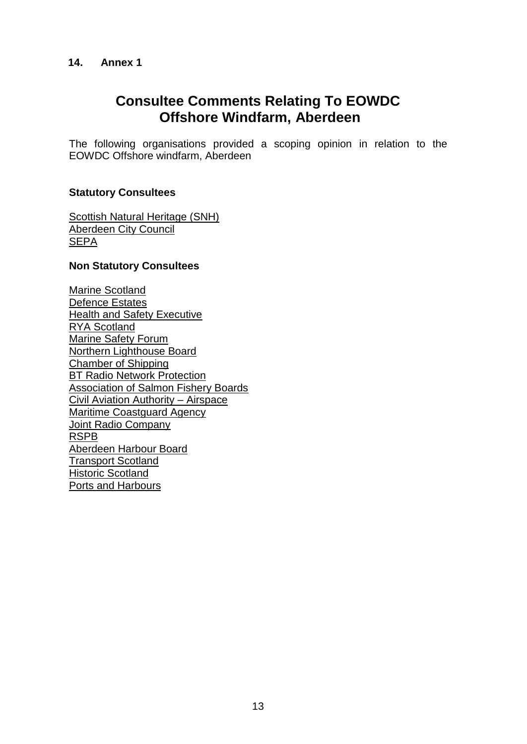## **14. Annex 1**

# **Consultee Comments Relating To EOWDC Offshore Windfarm, Aberdeen**

The following organisations provided a scoping opinion in relation to the EOWDC Offshore windfarm, Aberdeen

## **Statutory Consultees**

[Scottish Natural Heritage \(SNH\)](#page-13-0) Aberdeen City Council **SEPA** 

### **Non Statutory Consultees**

[Marine Scotland](#page-45-0) Defence Estates Health and Safety Executive RYA Scotland Marine Safety Forum Northern Lighthouse Board Chamber of Shipping BT Radio Network Protection Association of Salmon Fishery Boards Civil Aviation Authority – Airspace Maritime Coastguard Agency Joint Radio Company RSPB Aberdeen Harbour Board Transport Scotland Historic Scotland Ports and Harbours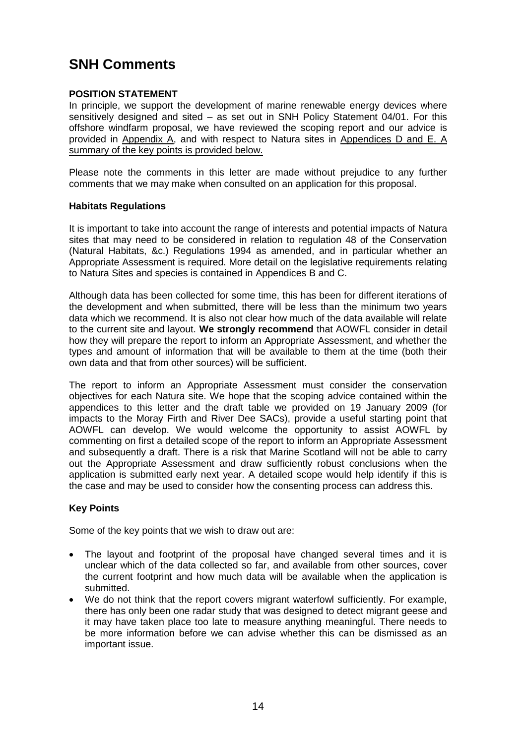# <span id="page-13-0"></span>**SNH Comments**

## **POSITION STATEMENT**

In principle, we support the development of marine renewable energy devices where sensitively designed and sited – as set out in SNH Policy Statement 04/01. For this offshore windfarm proposal, we have reviewed the scoping report and our advice is provided in Appendix A, and with respect to Natura sites in Appendices D and E. A summary of the key points is provided below.

Please note the comments in this letter are made without prejudice to any further comments that we may make when consulted on an application for this proposal.

#### **Habitats Regulations**

It is important to take into account the range of interests and potential impacts of Natura sites that may need to be considered in relation to regulation 48 of the Conservation (Natural Habitats, &c.) Regulations 1994 as amended, and in particular whether an Appropriate Assessment is required. More detail on the legislative requirements relating to Natura Sites and species is contained in Appendices B and C.

Although data has been collected for some time, this has been for different iterations of the development and when submitted, there will be less than the minimum two years data which we recommend. It is also not clear how much of the data available will relate to the current site and layout. **We strongly recommend** that AOWFL consider in detail how they will prepare the report to inform an Appropriate Assessment, and whether the types and amount of information that will be available to them at the time (both their own data and that from other sources) will be sufficient.

The report to inform an Appropriate Assessment must consider the conservation objectives for each Natura site. We hope that the scoping advice contained within the appendices to this letter and the draft table we provided on 19 January 2009 (for impacts to the Moray Firth and River Dee SACs), provide a useful starting point that AOWFL can develop. We would welcome the opportunity to assist AOWFL by commenting on first a detailed scope of the report to inform an Appropriate Assessment and subsequently a draft. There is a risk that Marine Scotland will not be able to carry out the Appropriate Assessment and draw sufficiently robust conclusions when the application is submitted early next year. A detailed scope would help identify if this is the case and may be used to consider how the consenting process can address this.

### **Key Points**

Some of the key points that we wish to draw out are:

- The layout and footprint of the proposal have changed several times and it is unclear which of the data collected so far, and available from other sources, cover the current footprint and how much data will be available when the application is submitted.
- We do not think that the report covers migrant waterfowl sufficiently. For example, there has only been one radar study that was designed to detect migrant geese and it may have taken place too late to measure anything meaningful. There needs to be more information before we can advise whether this can be dismissed as an important issue.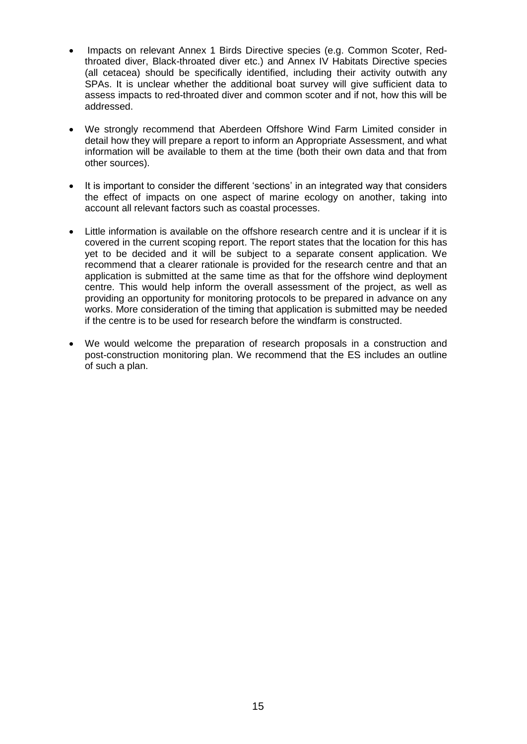- Impacts on relevant Annex 1 Birds Directive species (e.g. Common Scoter, Redthroated diver, Black-throated diver etc.) and Annex IV Habitats Directive species (all cetacea) should be specifically identified, including their activity outwith any SPAs. It is unclear whether the additional boat survey will give sufficient data to assess impacts to red-throated diver and common scoter and if not, how this will be addressed.
- We strongly recommend that Aberdeen Offshore Wind Farm Limited consider in detail how they will prepare a report to inform an Appropriate Assessment, and what information will be available to them at the time (both their own data and that from other sources).
- It is important to consider the different 'sections' in an integrated way that considers the effect of impacts on one aspect of marine ecology on another, taking into account all relevant factors such as coastal processes.
- Little information is available on the offshore research centre and it is unclear if it is covered in the current scoping report. The report states that the location for this has yet to be decided and it will be subject to a separate consent application. We recommend that a clearer rationale is provided for the research centre and that an application is submitted at the same time as that for the offshore wind deployment centre. This would help inform the overall assessment of the project, as well as providing an opportunity for monitoring protocols to be prepared in advance on any works. More consideration of the timing that application is submitted may be needed if the centre is to be used for research before the windfarm is constructed.
- We would welcome the preparation of research proposals in a construction and post-construction monitoring plan. We recommend that the ES includes an outline of such a plan.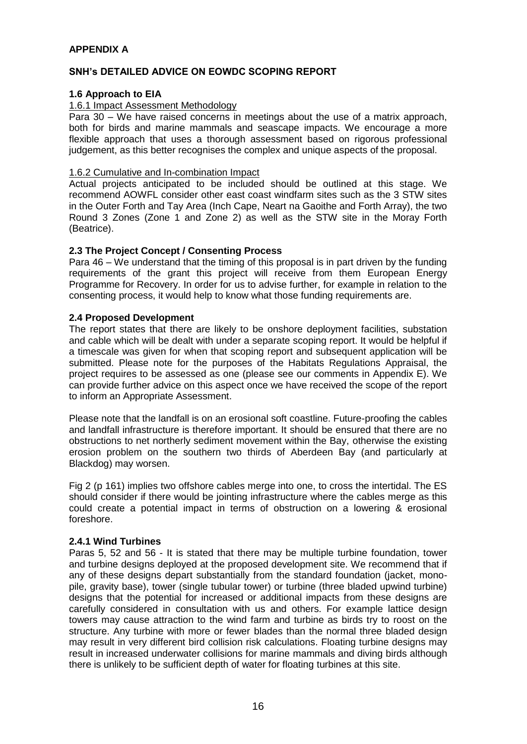### **APPENDIX A**

### **SNH's DETAILED ADVICE ON EOWDC SCOPING REPORT**

#### **1.6 Approach to EIA**

#### 1.6.1 Impact Assessment Methodology

Para 30 – We have raised concerns in meetings about the use of a matrix approach, both for birds and marine mammals and seascape impacts. We encourage a more flexible approach that uses a thorough assessment based on rigorous professional judgement, as this better recognises the complex and unique aspects of the proposal.

### 1.6.2 Cumulative and In-combination Impact

Actual projects anticipated to be included should be outlined at this stage. We recommend AOWFL consider other east coast windfarm sites such as the 3 STW sites in the Outer Forth and Tay Area (Inch Cape, Neart na Gaoithe and Forth Array), the two Round 3 Zones (Zone 1 and Zone 2) as well as the STW site in the Moray Forth (Beatrice).

#### **2.3 The Project Concept / Consenting Process**

Para 46 – We understand that the timing of this proposal is in part driven by the funding requirements of the grant this project will receive from them European Energy Programme for Recovery. In order for us to advise further, for example in relation to the consenting process, it would help to know what those funding requirements are.

#### **2.4 Proposed Development**

The report states that there are likely to be onshore deployment facilities, substation and cable which will be dealt with under a separate scoping report. It would be helpful if a timescale was given for when that scoping report and subsequent application will be submitted. Please note for the purposes of the Habitats Regulations Appraisal, the project requires to be assessed as one (please see our comments in Appendix E). We can provide further advice on this aspect once we have received the scope of the report to inform an Appropriate Assessment.

Please note that the landfall is on an erosional soft coastline. Future-proofing the cables and landfall infrastructure is therefore important. It should be ensured that there are no obstructions to net northerly sediment movement within the Bay, otherwise the existing erosion problem on the southern two thirds of Aberdeen Bay (and particularly at Blackdog) may worsen.

Fig 2 (p 161) implies two offshore cables merge into one, to cross the intertidal. The ES should consider if there would be jointing infrastructure where the cables merge as this could create a potential impact in terms of obstruction on a lowering & erosional foreshore.

#### **2.4.1 Wind Turbines**

Paras 5, 52 and 56 - It is stated that there may be multiple turbine foundation, tower and turbine designs deployed at the proposed development site. We recommend that if any of these designs depart substantially from the standard foundation (jacket, monopile, gravity base), tower (single tubular tower) or turbine (three bladed upwind turbine) designs that the potential for increased or additional impacts from these designs are carefully considered in consultation with us and others. For example lattice design towers may cause attraction to the wind farm and turbine as birds try to roost on the structure. Any turbine with more or fewer blades than the normal three bladed design may result in very different bird collision risk calculations. Floating turbine designs may result in increased underwater collisions for marine mammals and diving birds although there is unlikely to be sufficient depth of water for floating turbines at this site.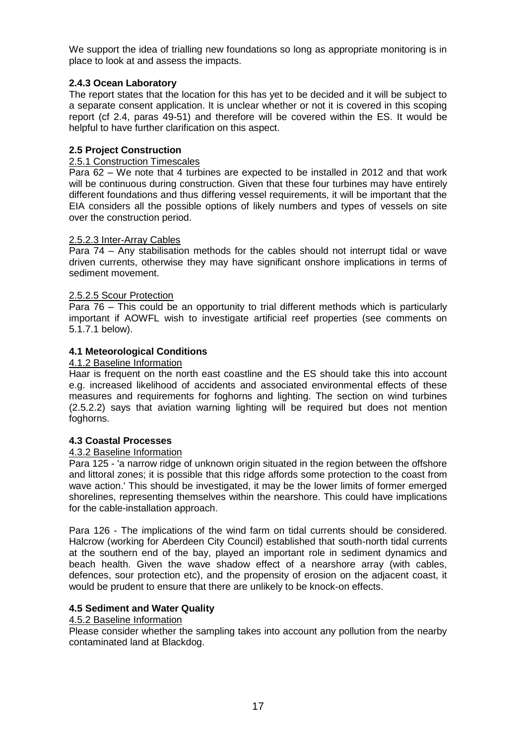We support the idea of trialling new foundations so long as appropriate monitoring is in place to look at and assess the impacts.

### **2.4.3 Ocean Laboratory**

The report states that the location for this has yet to be decided and it will be subject to a separate consent application. It is unclear whether or not it is covered in this scoping report (cf 2.4, paras 49-51) and therefore will be covered within the ES. It would be helpful to have further clarification on this aspect.

### **2.5 Project Construction**

#### 2.5.1 Construction Timescales

Para 62 – We note that 4 turbines are expected to be installed in 2012 and that work will be continuous during construction. Given that these four turbines may have entirely different foundations and thus differing vessel requirements, it will be important that the EIA considers all the possible options of likely numbers and types of vessels on site over the construction period.

#### 2.5.2.3 Inter-Array Cables

Para 74 – Any stabilisation methods for the cables should not interrupt tidal or wave driven currents, otherwise they may have significant onshore implications in terms of sediment movement.

### 2.5.2.5 Scour Protection

Para 76 – This could be an opportunity to trial different methods which is particularly important if AOWFL wish to investigate artificial reef properties (see comments on 5.1.7.1 below).

### **4.1 Meteorological Conditions**

#### 4.1.2 Baseline Information

Haar is frequent on the north east coastline and the ES should take this into account e.g. increased likelihood of accidents and associated environmental effects of these measures and requirements for foghorns and lighting. The section on wind turbines (2.5.2.2) says that aviation warning lighting will be required but does not mention foghorns.

### **4.3 Coastal Processes**

#### 4.3.2 Baseline Information

Para 125 - 'a narrow ridge of unknown origin situated in the region between the offshore and littoral zones; it is possible that this ridge affords some protection to the coast from wave action.' This should be investigated, it may be the lower limits of former emerged shorelines, representing themselves within the nearshore. This could have implications for the cable-installation approach.

Para 126 - The implications of the wind farm on tidal currents should be considered. Halcrow (working for Aberdeen City Council) established that south-north tidal currents at the southern end of the bay, played an important role in sediment dynamics and beach health. Given the wave shadow effect of a nearshore array (with cables, defences, sour protection etc), and the propensity of erosion on the adjacent coast, it would be prudent to ensure that there are unlikely to be knock-on effects.

### **4.5 Sediment and Water Quality**

#### 4.5.2 Baseline Information

Please consider whether the sampling takes into account any pollution from the nearby contaminated land at Blackdog.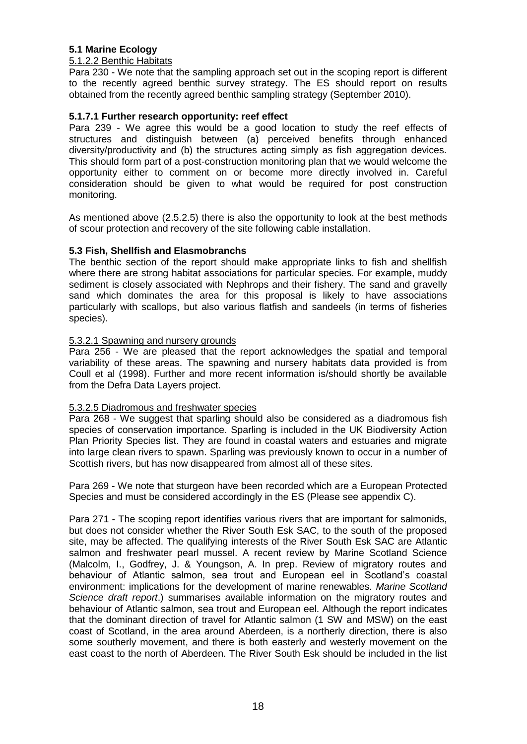### **5.1 Marine Ecology**

#### 5.1.2.2 Benthic Habitats

Para 230 - We note that the sampling approach set out in the scoping report is different to the recently agreed benthic survey strategy. The ES should report on results obtained from the recently agreed benthic sampling strategy (September 2010).

### **5.1.7.1 Further research opportunity: reef effect**

Para 239 - We agree this would be a good location to study the reef effects of structures and distinguish between (a) perceived benefits through enhanced diversity/productivity and (b) the structures acting simply as fish aggregation devices. This should form part of a post-construction monitoring plan that we would welcome the opportunity either to comment on or become more directly involved in. Careful consideration should be given to what would be required for post construction monitoring.

As mentioned above (2.5.2.5) there is also the opportunity to look at the best methods of scour protection and recovery of the site following cable installation.

#### **5.3 Fish, Shellfish and Elasmobranchs**

The benthic section of the report should make appropriate links to fish and shellfish where there are strong habitat associations for particular species. For example, muddy sediment is closely associated with Nephrops and their fishery. The sand and gravelly sand which dominates the area for this proposal is likely to have associations particularly with scallops, but also various flatfish and sandeels (in terms of fisheries species).

#### 5.3.2.1 Spawning and nursery grounds

Para 256 - We are pleased that the report acknowledges the spatial and temporal variability of these areas. The spawning and nursery habitats data provided is from Coull et al (1998). Further and more recent information is/should shortly be available from the Defra Data Layers project.

#### 5.3.2.5 Diadromous and freshwater species

Para 268 - We suggest that sparling should also be considered as a diadromous fish species of conservation importance. Sparling is included in the UK Biodiversity Action Plan Priority Species list. They are found in coastal waters and estuaries and migrate into large clean rivers to spawn. Sparling was previously known to occur in a number of Scottish rivers, but has now disappeared from almost all of these sites.

Para 269 - We note that sturgeon have been recorded which are a European Protected Species and must be considered accordingly in the ES (Please see appendix C).

Para 271 - The scoping report identifies various rivers that are important for salmonids, but does not consider whether the River South Esk SAC, to the south of the proposed site, may be affected. The qualifying interests of the River South Esk SAC are Atlantic salmon and freshwater pearl mussel. A recent review by Marine Scotland Science (Malcolm, I., Godfrey, J. & Youngson, A. In prep. Review of migratory routes and behaviour of Atlantic salmon, sea trout and European eel in Scotland"s coastal environment: implications for the development of marine renewables. *Marine Scotland Science draft report*.) summarises available information on the migratory routes and behaviour of Atlantic salmon, sea trout and European eel. Although the report indicates that the dominant direction of travel for Atlantic salmon (1 SW and MSW) on the east coast of Scotland, in the area around Aberdeen, is a northerly direction, there is also some southerly movement, and there is both easterly and westerly movement on the east coast to the north of Aberdeen. The River South Esk should be included in the list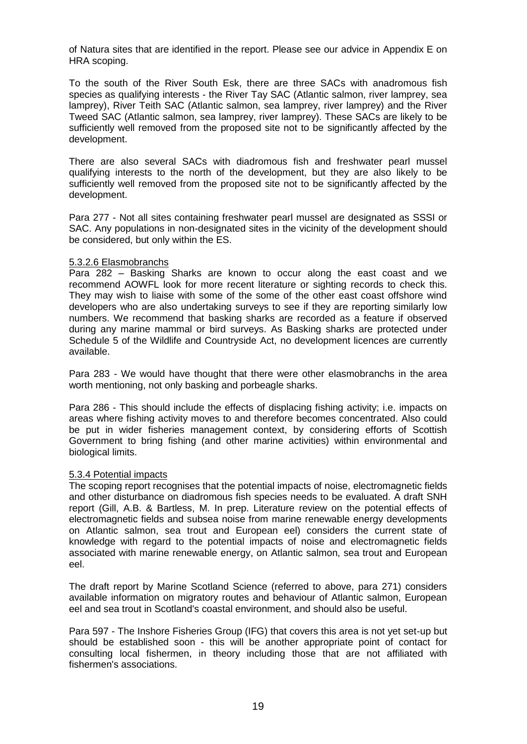of Natura sites that are identified in the report. Please see our advice in Appendix E on HRA scoping.

To the south of the River South Esk, there are three SACs with anadromous fish species as qualifying interests - the River Tay SAC (Atlantic salmon, river lamprey, sea lamprey), River Teith SAC (Atlantic salmon, sea lamprey, river lamprey) and the River Tweed SAC (Atlantic salmon, sea lamprey, river lamprey). These SACs are likely to be sufficiently well removed from the proposed site not to be significantly affected by the development.

There are also several SACs with diadromous fish and freshwater pearl mussel qualifying interests to the north of the development, but they are also likely to be sufficiently well removed from the proposed site not to be significantly affected by the development.

Para 277 - Not all sites containing freshwater pearl mussel are designated as SSSI or SAC. Any populations in non-designated sites in the vicinity of the development should be considered, but only within the ES.

#### 5.3.2.6 Elasmobranchs

Para 282 – Basking Sharks are known to occur along the east coast and we recommend AOWFL look for more recent literature or sighting records to check this. They may wish to liaise with some of the some of the other east coast offshore wind developers who are also undertaking surveys to see if they are reporting similarly low numbers. We recommend that basking sharks are recorded as a feature if observed during any marine mammal or bird surveys. As Basking sharks are protected under Schedule 5 of the Wildlife and Countryside Act, no development licences are currently available.

Para 283 - We would have thought that there were other elasmobranchs in the area worth mentioning, not only basking and porbeagle sharks.

Para 286 - This should include the effects of displacing fishing activity; i.e. impacts on areas where fishing activity moves to and therefore becomes concentrated. Also could be put in wider fisheries management context, by considering efforts of Scottish Government to bring fishing (and other marine activities) within environmental and biological limits.

#### 5.3.4 Potential impacts

The scoping report recognises that the potential impacts of noise, electromagnetic fields and other disturbance on diadromous fish species needs to be evaluated. A draft SNH report (Gill, A.B. & Bartless, M. In prep. Literature review on the potential effects of electromagnetic fields and subsea noise from marine renewable energy developments on Atlantic salmon, sea trout and European eel) considers the current state of knowledge with regard to the potential impacts of noise and electromagnetic fields associated with marine renewable energy, on Atlantic salmon, sea trout and European eel.

The draft report by Marine Scotland Science (referred to above, para 271) considers available information on migratory routes and behaviour of Atlantic salmon, European eel and sea trout in Scotland's coastal environment, and should also be useful.

Para 597 - The Inshore Fisheries Group (IFG) that covers this area is not yet set-up but should be established soon - this will be another appropriate point of contact for consulting local fishermen, in theory including those that are not affiliated with fishermen's associations.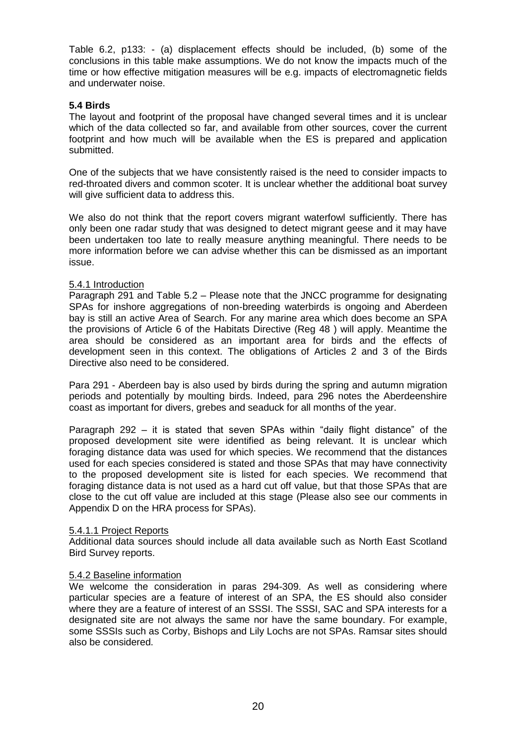Table 6.2, p133: - (a) displacement effects should be included, (b) some of the conclusions in this table make assumptions. We do not know the impacts much of the time or how effective mitigation measures will be e.g. impacts of electromagnetic fields and underwater noise.

### **5.4 Birds**

The layout and footprint of the proposal have changed several times and it is unclear which of the data collected so far, and available from other sources, cover the current footprint and how much will be available when the ES is prepared and application submitted.

One of the subjects that we have consistently raised is the need to consider impacts to red-throated divers and common scoter. It is unclear whether the additional boat survey will give sufficient data to address this.

We also do not think that the report covers migrant waterfowl sufficiently. There has only been one radar study that was designed to detect migrant geese and it may have been undertaken too late to really measure anything meaningful. There needs to be more information before we can advise whether this can be dismissed as an important issue.

### 5.4.1 Introduction

Paragraph 291 and Table 5.2 – Please note that the JNCC programme for designating SPAs for inshore aggregations of non-breeding waterbirds is ongoing and Aberdeen bay is still an active Area of Search. For any marine area which does become an SPA the provisions of Article 6 of the Habitats Directive (Reg 48 ) will apply. Meantime the area should be considered as an important area for birds and the effects of development seen in this context. The obligations of Articles 2 and 3 of the Birds Directive also need to be considered.

Para 291 - Aberdeen bay is also used by birds during the spring and autumn migration periods and potentially by moulting birds. Indeed, para 296 notes the Aberdeenshire coast as important for divers, grebes and seaduck for all months of the year.

Paragraph 292 – it is stated that seven SPAs within "daily flight distance" of the proposed development site were identified as being relevant. It is unclear which foraging distance data was used for which species. We recommend that the distances used for each species considered is stated and those SPAs that may have connectivity to the proposed development site is listed for each species. We recommend that foraging distance data is not used as a hard cut off value, but that those SPAs that are close to the cut off value are included at this stage (Please also see our comments in Appendix D on the HRA process for SPAs).

### 5.4.1.1 Project Reports

Additional data sources should include all data available such as North East Scotland Bird Survey reports.

### 5.4.2 Baseline information

We welcome the consideration in paras 294-309. As well as considering where particular species are a feature of interest of an SPA, the ES should also consider where they are a feature of interest of an SSSI. The SSSI, SAC and SPA interests for a designated site are not always the same nor have the same boundary. For example, some SSSIs such as Corby, Bishops and Lily Lochs are not SPAs. Ramsar sites should also be considered.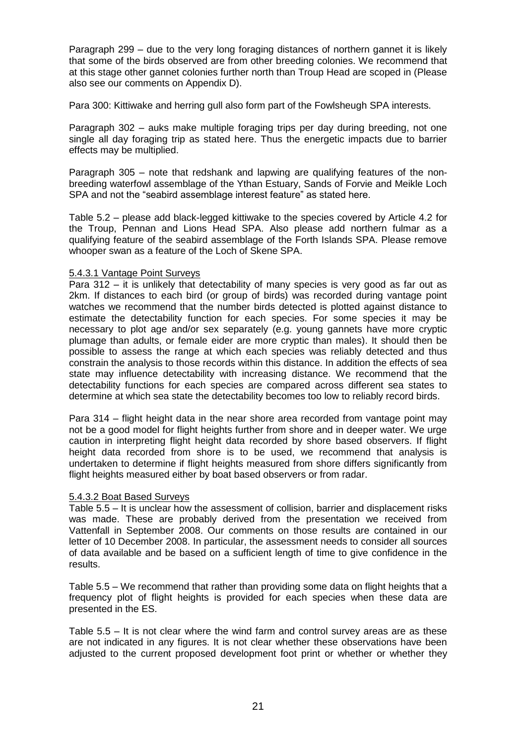Paragraph 299 – due to the very long foraging distances of northern gannet it is likely that some of the birds observed are from other breeding colonies. We recommend that at this stage other gannet colonies further north than Troup Head are scoped in (Please also see our comments on Appendix D).

Para 300: Kittiwake and herring gull also form part of the Fowlsheugh SPA interests.

Paragraph 302 – auks make multiple foraging trips per day during breeding, not one single all day foraging trip as stated here. Thus the energetic impacts due to barrier effects may be multiplied.

Paragraph 305 – note that redshank and lapwing are qualifying features of the nonbreeding waterfowl assemblage of the Ythan Estuary, Sands of Forvie and Meikle Loch SPA and not the "seabird assemblage interest feature" as stated here.

Table 5.2 – please add black-legged kittiwake to the species covered by Article 4.2 for the Troup, Pennan and Lions Head SPA. Also please add northern fulmar as a qualifying feature of the seabird assemblage of the Forth Islands SPA. Please remove whooper swan as a feature of the Loch of Skene SPA.

#### 5.4.3.1 Vantage Point Surveys

Para 312 – it is unlikely that detectability of many species is very good as far out as 2km. If distances to each bird (or group of birds) was recorded during vantage point watches we recommend that the number birds detected is plotted against distance to estimate the detectability function for each species. For some species it may be necessary to plot age and/or sex separately (e.g. young gannets have more cryptic plumage than adults, or female eider are more cryptic than males). It should then be possible to assess the range at which each species was reliably detected and thus constrain the analysis to those records within this distance. In addition the effects of sea state may influence detectability with increasing distance. We recommend that the detectability functions for each species are compared across different sea states to determine at which sea state the detectability becomes too low to reliably record birds.

Para 314 – flight height data in the near shore area recorded from vantage point may not be a good model for flight heights further from shore and in deeper water. We urge caution in interpreting flight height data recorded by shore based observers. If flight height data recorded from shore is to be used, we recommend that analysis is undertaken to determine if flight heights measured from shore differs significantly from flight heights measured either by boat based observers or from radar.

#### 5.4.3.2 Boat Based Surveys

Table 5.5 – It is unclear how the assessment of collision, barrier and displacement risks was made. These are probably derived from the presentation we received from Vattenfall in September 2008. Our comments on those results are contained in our letter of 10 December 2008. In particular, the assessment needs to consider all sources of data available and be based on a sufficient length of time to give confidence in the results.

Table 5.5 – We recommend that rather than providing some data on flight heights that a frequency plot of flight heights is provided for each species when these data are presented in the ES.

Table 5.5 – It is not clear where the wind farm and control survey areas are as these are not indicated in any figures. It is not clear whether these observations have been adjusted to the current proposed development foot print or whether or whether they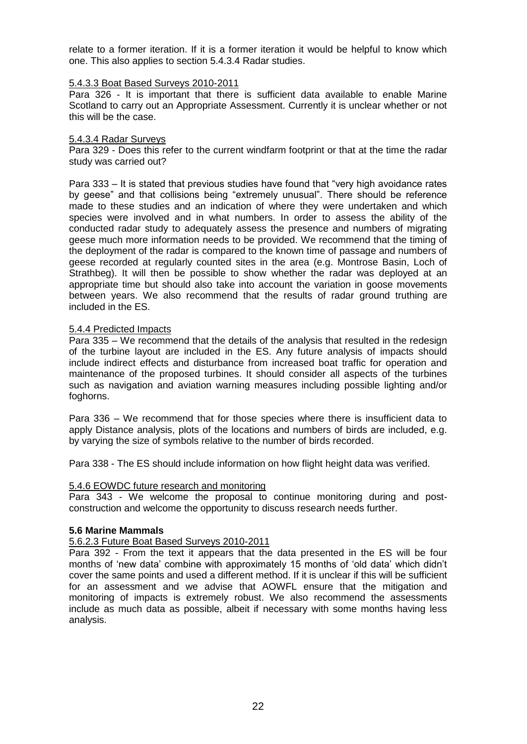relate to a former iteration. If it is a former iteration it would be helpful to know which one. This also applies to section 5.4.3.4 Radar studies.

#### 5.4.3.3 Boat Based Surveys 2010-2011

Para 326 - It is important that there is sufficient data available to enable Marine Scotland to carry out an Appropriate Assessment. Currently it is unclear whether or not this will be the case.

#### 5.4.3.4 Radar Surveys

Para 329 - Does this refer to the current windfarm footprint or that at the time the radar study was carried out?

Para 333 – It is stated that previous studies have found that "very high avoidance rates by geese" and that collisions being "extremely unusual". There should be reference made to these studies and an indication of where they were undertaken and which species were involved and in what numbers. In order to assess the ability of the conducted radar study to adequately assess the presence and numbers of migrating geese much more information needs to be provided. We recommend that the timing of the deployment of the radar is compared to the known time of passage and numbers of geese recorded at regularly counted sites in the area (e.g. Montrose Basin, Loch of Strathbeg). It will then be possible to show whether the radar was deployed at an appropriate time but should also take into account the variation in goose movements between years. We also recommend that the results of radar ground truthing are included in the ES.

#### 5.4.4 Predicted Impacts

Para 335 – We recommend that the details of the analysis that resulted in the redesign of the turbine layout are included in the ES. Any future analysis of impacts should include indirect effects and disturbance from increased boat traffic for operation and maintenance of the proposed turbines. It should consider all aspects of the turbines such as navigation and aviation warning measures including possible lighting and/or foghorns.

Para 336 – We recommend that for those species where there is insufficient data to apply Distance analysis, plots of the locations and numbers of birds are included, e.g. by varying the size of symbols relative to the number of birds recorded.

Para 338 - The ES should include information on how flight height data was verified.

#### 5.4.6 EOWDC future research and monitoring

Para 343 - We welcome the proposal to continue monitoring during and postconstruction and welcome the opportunity to discuss research needs further.

#### **5.6 Marine Mammals**

#### 5.6.2.3 Future Boat Based Surveys 2010-2011

Para 392 - From the text it appears that the data presented in the ES will be four months of "new data" combine with approximately 15 months of "old data" which didn"t cover the same points and used a different method. If it is unclear if this will be sufficient for an assessment and we advise that AOWFL ensure that the mitigation and monitoring of impacts is extremely robust. We also recommend the assessments include as much data as possible, albeit if necessary with some months having less analysis.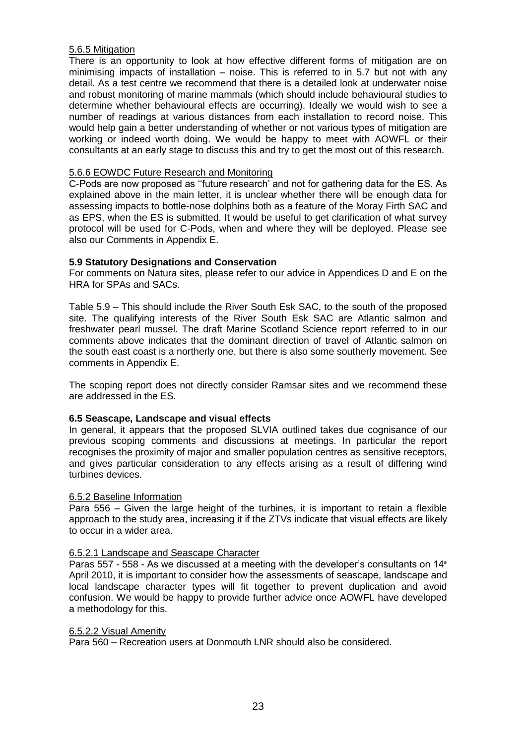### 5.6.5 Mitigation

There is an opportunity to look at how effective different forms of mitigation are on minimising impacts of installation  $-$  noise. This is referred to in 5.7 but not with any detail. As a test centre we recommend that there is a detailed look at underwater noise and robust monitoring of marine mammals (which should include behavioural studies to determine whether behavioural effects are occurring). Ideally we would wish to see a number of readings at various distances from each installation to record noise. This would help gain a better understanding of whether or not various types of mitigation are working or indeed worth doing. We would be happy to meet with AOWFL or their consultants at an early stage to discuss this and try to get the most out of this research.

## 5.6.6 EOWDC Future Research and Monitoring

C-Pods are now proposed as ""future research" and not for gathering data for the ES. As explained above in the main letter, it is unclear whether there will be enough data for assessing impacts to bottle-nose dolphins both as a feature of the Moray Firth SAC and as EPS, when the ES is submitted. It would be useful to get clarification of what survey protocol will be used for C-Pods, when and where they will be deployed. Please see also our Comments in Appendix E.

### **5.9 Statutory Designations and Conservation**

For comments on Natura sites, please refer to our advice in Appendices D and E on the HRA for SPAs and SACs.

Table 5.9 – This should include the River South Esk SAC, to the south of the proposed site. The qualifying interests of the River South Esk SAC are Atlantic salmon and freshwater pearl mussel. The draft Marine Scotland Science report referred to in our comments above indicates that the dominant direction of travel of Atlantic salmon on the south east coast is a northerly one, but there is also some southerly movement. See comments in Appendix E.

The scoping report does not directly consider Ramsar sites and we recommend these are addressed in the ES.

### **6.5 Seascape, Landscape and visual effects**

In general, it appears that the proposed SLVIA outlined takes due cognisance of our previous scoping comments and discussions at meetings. In particular the report recognises the proximity of major and smaller population centres as sensitive receptors, and gives particular consideration to any effects arising as a result of differing wind turbines devices.

### 6.5.2 Baseline Information

Para 556 – Given the large height of the turbines, it is important to retain a flexible approach to the study area, increasing it if the ZTVs indicate that visual effects are likely to occur in a wider area.

### 6.5.2.1 Landscape and Seascape Character

Paras 557 - 558 - As we discussed at a meeting with the developer's consultants on  $14<sup>th</sup>$ April 2010, it is important to consider how the assessments of seascape, landscape and local landscape character types will fit together to prevent duplication and avoid confusion. We would be happy to provide further advice once AOWFL have developed a methodology for this.

#### 6.5.2.2 Visual Amenity

Para 560 – Recreation users at Donmouth LNR should also be considered.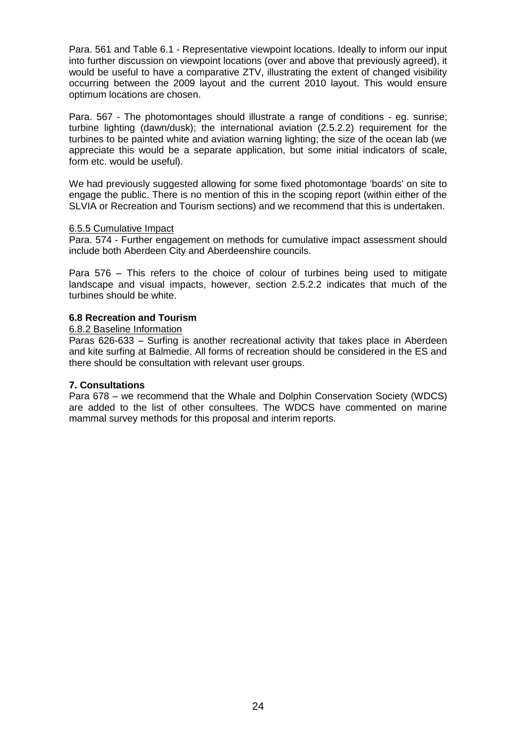Para. 561 and Table 6.1 - Representative viewpoint locations. Ideally to inform our input into further discussion on viewpoint locations (over and above that previously agreed), it would be useful to have a comparative ZTV, illustrating the extent of changed visibility occurring between the 2009 layout and the current 2010 layout. This would ensure optimum locations are chosen.

Para. 567 - The photomontages should illustrate a range of conditions - eg. sunrise; turbine lighting (dawn/dusk); the international aviation (2.5.2.2) requirement for the turbines to be painted white and aviation warning lighting; the size of the ocean lab (we appreciate this would be a separate application, but some initial indicators of scale, form etc. would be useful).

We had previously suggested allowing for some fixed photomontage 'boards' on site to engage the public. There is no mention of this in the scoping report (within either of the SLVIA or Recreation and Tourism sections) and we recommend that this is undertaken.

#### 6.5.5 Cumulative Impact

Para. 574 - Further engagement on methods for cumulative impact assessment should include both Aberdeen City and Aberdeenshire councils.

Para 576 – This refers to the choice of colour of turbines being used to mitigate landscape and visual impacts, however, section 2.5.2.2 indicates that much of the turbines should be white.

#### **6.8 Recreation and Tourism**

#### 6.8.2 Baseline Information

Paras 626-633 – Surfing is another recreational activity that takes place in Aberdeen and kite surfing at Balmedie. All forms of recreation should be considered in the ES and there should be consultation with relevant user groups.

#### **7. Consultations**

Para 678 – we recommend that the Whale and Dolphin Conservation Society (WDCS) are added to the list of other consultees. The WDCS have commented on marine mammal survey methods for this proposal and interim reports.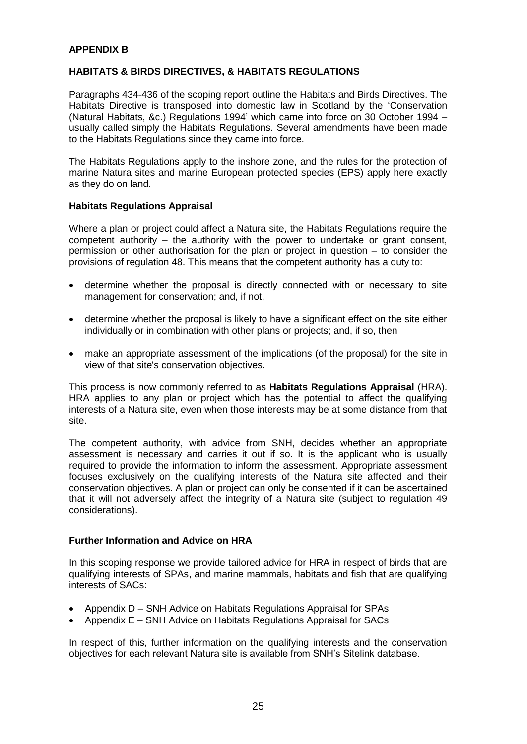### **APPENDIX B**

### **HABITATS & BIRDS DIRECTIVES, & HABITATS REGULATIONS**

Paragraphs 434-436 of the scoping report outline the Habitats and Birds Directives. The Habitats Directive is transposed into domestic law in Scotland by the "Conservation (Natural Habitats, &c.) Regulations 1994" which came into force on 30 October 1994 – usually called simply the Habitats Regulations. Several amendments have been made to the Habitats Regulations since they came into force.

The Habitats Regulations apply to the inshore zone, and the rules for the protection of marine Natura sites and marine European protected species (EPS) apply here exactly as they do on land.

#### **Habitats Regulations Appraisal**

Where a plan or project could affect a Natura site, the Habitats Regulations require the competent authority – the authority with the power to undertake or grant consent, permission or other authorisation for the plan or project in question – to consider the provisions of regulation 48. This means that the competent authority has a duty to:

- determine whether the proposal is directly connected with or necessary to site management for conservation; and, if not,
- determine whether the proposal is likely to have a significant effect on the site either individually or in combination with other plans or projects; and, if so, then
- make an appropriate assessment of the implications (of the proposal) for the site in view of that site's conservation objectives.

This process is now commonly referred to as **Habitats Regulations Appraisal** (HRA). HRA applies to any plan or project which has the potential to affect the qualifying interests of a Natura site, even when those interests may be at some distance from that site.

The competent authority, with advice from SNH, decides whether an appropriate assessment is necessary and carries it out if so. It is the applicant who is usually required to provide the information to inform the assessment. Appropriate assessment focuses exclusively on the qualifying interests of the Natura site affected and their conservation objectives. A plan or project can only be consented if it can be ascertained that it will not adversely affect the integrity of a Natura site (subject to regulation 49 considerations).

### **Further Information and Advice on HRA**

In this scoping response we provide tailored advice for HRA in respect of birds that are qualifying interests of SPAs, and marine mammals, habitats and fish that are qualifying interests of SACs:

- Appendix D SNH Advice on Habitats Regulations Appraisal for SPAs
- Appendix E SNH Advice on Habitats Regulations Appraisal for SACs

In respect of this, further information on the qualifying interests and the conservation objectives for each relevant Natura site is available from SNH"s Sitelink database.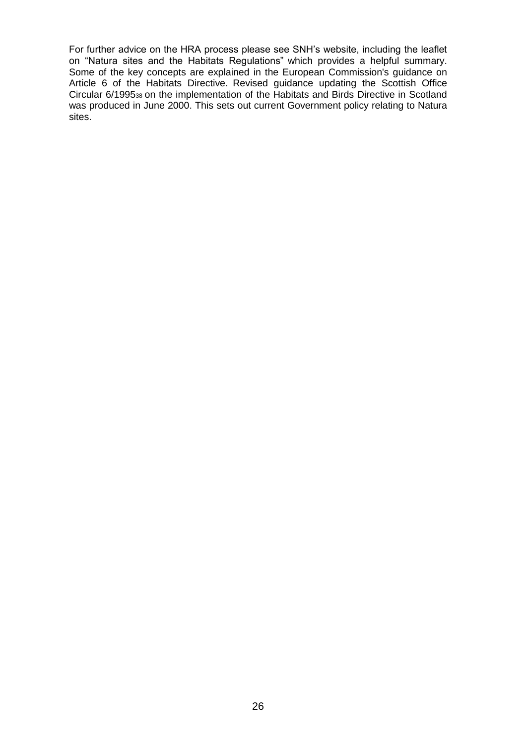For further advice on the HRA process please see SNH"s website, including the leaflet on "Natura sites and the Habitats Regulations" which provides a helpful summary. Some of the key concepts are explained in the European Commission's guidance on Article 6 of the Habitats Directive. Revised guidance updating the Scottish Office Circular 6/199538 on the implementation of the Habitats and Birds Directive in Scotland was produced in June 2000. This sets out current Government policy relating to Natura sites.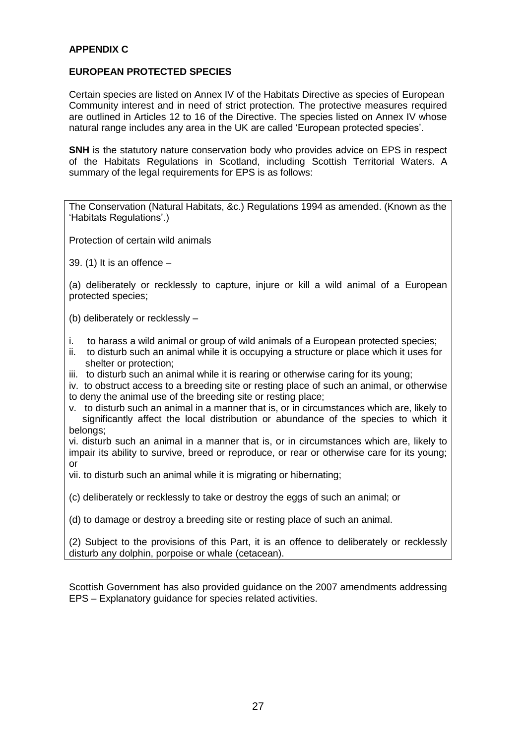## **APPENDIX C**

### **EUROPEAN PROTECTED SPECIES**

Certain species are listed on Annex IV of the Habitats Directive as species of European Community interest and in need of strict protection. The protective measures required are outlined in Articles 12 to 16 of the Directive. The species listed on Annex IV whose natural range includes any area in the UK are called "European protected species".

**SNH** is the statutory nature conservation body who provides advice on EPS in respect of the Habitats Regulations in Scotland, including Scottish Territorial Waters. A summary of the legal requirements for EPS is as follows:

The Conservation (Natural Habitats, &c.) Regulations 1994 as amended. (Known as the "Habitats Regulations".)

Protection of certain wild animals

39. (1) It is an offence –

(a) deliberately or recklessly to capture, injure or kill a wild animal of a European protected species;

(b) deliberately or recklessly –

- i. to harass a wild animal or group of wild animals of a European protected species;
- ii. to disturb such an animal while it is occupying a structure or place which it uses for shelter or protection;
- iii. to disturb such an animal while it is rearing or otherwise caring for its young;

iv. to obstruct access to a breeding site or resting place of such an animal, or otherwise to deny the animal use of the breeding site or resting place;

v. to disturb such an animal in a manner that is, or in circumstances which are, likely to significantly affect the local distribution or abundance of the species to which it belongs;

vi. disturb such an animal in a manner that is, or in circumstances which are, likely to impair its ability to survive, breed or reproduce, or rear or otherwise care for its young; or

vii. to disturb such an animal while it is migrating or hibernating;

(c) deliberately or recklessly to take or destroy the eggs of such an animal; or

(d) to damage or destroy a breeding site or resting place of such an animal.

(2) Subject to the provisions of this Part, it is an offence to deliberately or recklessly disturb any dolphin, porpoise or whale (cetacean).

Scottish Government has also provided guidance on the 2007 amendments addressing EPS – Explanatory guidance for species related activities.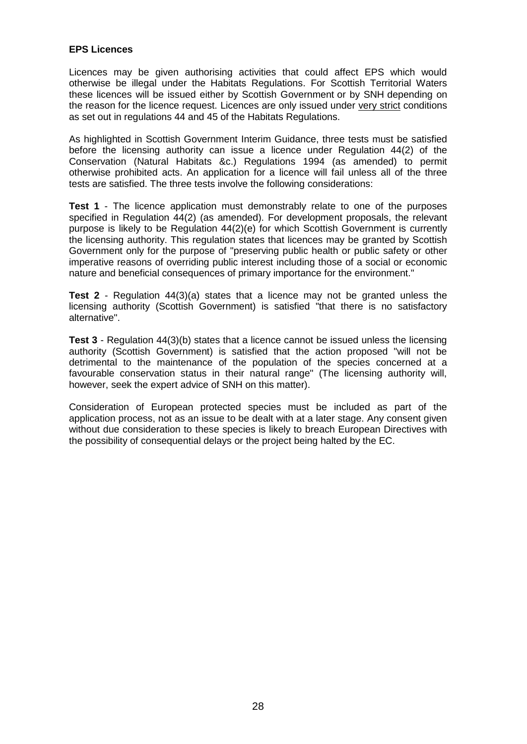### **EPS Licences**

Licences may be given authorising activities that could affect EPS which would otherwise be illegal under the Habitats Regulations. For Scottish Territorial Waters these licences will be issued either by Scottish Government or by SNH depending on the reason for the licence request. Licences are only issued under very strict conditions as set out in regulations 44 and 45 of the Habitats Regulations.

As highlighted in Scottish Government Interim Guidance, three tests must be satisfied before the licensing authority can issue a licence under Regulation 44(2) of the Conservation (Natural Habitats &c.) Regulations 1994 (as amended) to permit otherwise prohibited acts. An application for a licence will fail unless all of the three tests are satisfied. The three tests involve the following considerations:

**Test 1** - The licence application must demonstrably relate to one of the purposes specified in Regulation 44(2) (as amended). For development proposals, the relevant purpose is likely to be Regulation 44(2)(e) for which Scottish Government is currently the licensing authority. This regulation states that licences may be granted by Scottish Government only for the purpose of "preserving public health or public safety or other imperative reasons of overriding public interest including those of a social or economic nature and beneficial consequences of primary importance for the environment."

**Test 2** - Regulation 44(3)(a) states that a licence may not be granted unless the licensing authority (Scottish Government) is satisfied "that there is no satisfactory alternative".

**Test 3** - Regulation 44(3)(b) states that a licence cannot be issued unless the licensing authority (Scottish Government) is satisfied that the action proposed "will not be detrimental to the maintenance of the population of the species concerned at a favourable conservation status in their natural range" (The licensing authority will, however, seek the expert advice of SNH on this matter).

Consideration of European protected species must be included as part of the application process, not as an issue to be dealt with at a later stage. Any consent given without due consideration to these species is likely to breach European Directives with the possibility of consequential delays or the project being halted by the EC.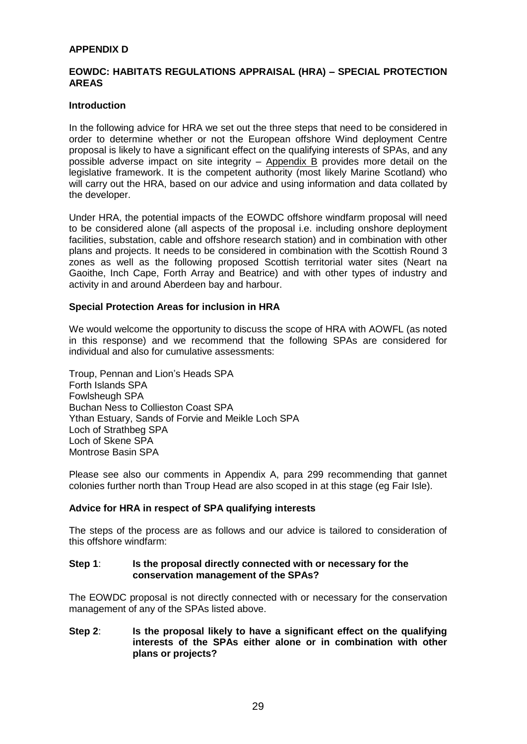#### **APPENDIX D**

#### **EOWDC: HABITATS REGULATIONS APPRAISAL (HRA) – SPECIAL PROTECTION AREAS**

#### **Introduction**

In the following advice for HRA we set out the three steps that need to be considered in order to determine whether or not the European offshore Wind deployment Centre proposal is likely to have a significant effect on the qualifying interests of SPAs, and any possible adverse impact on site integrity – Appendix B provides more detail on the legislative framework. It is the competent authority (most likely Marine Scotland) who will carry out the HRA, based on our advice and using information and data collated by the developer.

Under HRA, the potential impacts of the EOWDC offshore windfarm proposal will need to be considered alone (all aspects of the proposal i.e. including onshore deployment facilities, substation, cable and offshore research station) and in combination with other plans and projects. It needs to be considered in combination with the Scottish Round 3 zones as well as the following proposed Scottish territorial water sites (Neart na Gaoithe, Inch Cape, Forth Array and Beatrice) and with other types of industry and activity in and around Aberdeen bay and harbour.

#### **Special Protection Areas for inclusion in HRA**

We would welcome the opportunity to discuss the scope of HRA with AOWFL (as noted in this response) and we recommend that the following SPAs are considered for individual and also for cumulative assessments:

Troup, Pennan and Lion"s Heads SPA Forth Islands SPA Fowlsheugh SPA Buchan Ness to Collieston Coast SPA Ythan Estuary, Sands of Forvie and Meikle Loch SPA Loch of Strathbeg SPA Loch of Skene SPA Montrose Basin SPA

Please see also our comments in Appendix A, para 299 recommending that gannet colonies further north than Troup Head are also scoped in at this stage (eg Fair Isle).

### **Advice for HRA in respect of SPA qualifying interests**

The steps of the process are as follows and our advice is tailored to consideration of this offshore windfarm:

#### **Step 1**: **Is the proposal directly connected with or necessary for the conservation management of the SPAs?**

The EOWDC proposal is not directly connected with or necessary for the conservation management of any of the SPAs listed above.

**Step 2**: **Is the proposal likely to have a significant effect on the qualifying interests of the SPAs either alone or in combination with other plans or projects?**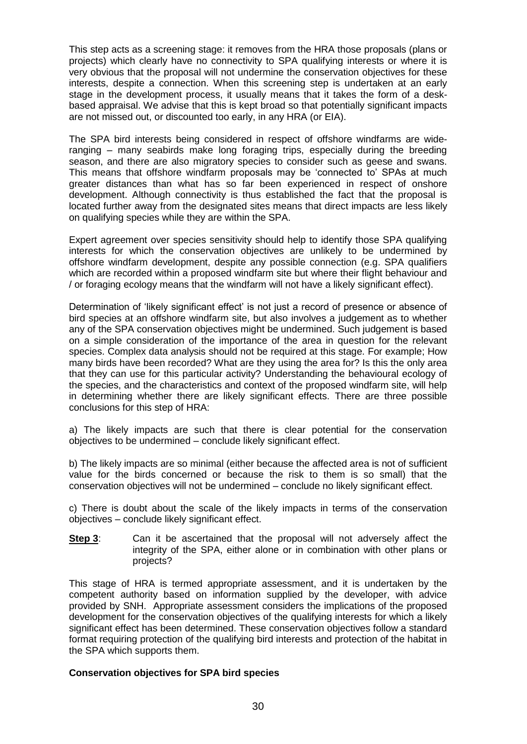This step acts as a screening stage: it removes from the HRA those proposals (plans or projects) which clearly have no connectivity to SPA qualifying interests or where it is very obvious that the proposal will not undermine the conservation objectives for these interests, despite a connection. When this screening step is undertaken at an early stage in the development process, it usually means that it takes the form of a deskbased appraisal. We advise that this is kept broad so that potentially significant impacts are not missed out, or discounted too early, in any HRA (or EIA).

The SPA bird interests being considered in respect of offshore windfarms are wideranging – many seabirds make long foraging trips, especially during the breeding season, and there are also migratory species to consider such as geese and swans. This means that offshore windfarm proposals may be "connected to" SPAs at much greater distances than what has so far been experienced in respect of onshore development. Although connectivity is thus established the fact that the proposal is located further away from the designated sites means that direct impacts are less likely on qualifying species while they are within the SPA.

Expert agreement over species sensitivity should help to identify those SPA qualifying interests for which the conservation objectives are unlikely to be undermined by offshore windfarm development, despite any possible connection (e.g. SPA qualifiers which are recorded within a proposed windfarm site but where their flight behaviour and / or foraging ecology means that the windfarm will not have a likely significant effect).

Determination of "likely significant effect" is not just a record of presence or absence of bird species at an offshore windfarm site, but also involves a judgement as to whether any of the SPA conservation objectives might be undermined. Such judgement is based on a simple consideration of the importance of the area in question for the relevant species. Complex data analysis should not be required at this stage. For example; How many birds have been recorded? What are they using the area for? Is this the only area that they can use for this particular activity? Understanding the behavioural ecology of the species, and the characteristics and context of the proposed windfarm site, will help in determining whether there are likely significant effects. There are three possible conclusions for this step of HRA:

a) The likely impacts are such that there is clear potential for the conservation objectives to be undermined – conclude likely significant effect.

b) The likely impacts are so minimal (either because the affected area is not of sufficient value for the birds concerned or because the risk to them is so small) that the conservation objectives will not be undermined – conclude no likely significant effect.

c) There is doubt about the scale of the likely impacts in terms of the conservation objectives – conclude likely significant effect.

**Step 3:** Can it be ascertained that the proposal will not adversely affect the integrity of the SPA, either alone or in combination with other plans or projects?

This stage of HRA is termed appropriate assessment, and it is undertaken by the competent authority based on information supplied by the developer, with advice provided by SNH. Appropriate assessment considers the implications of the proposed development for the conservation objectives of the qualifying interests for which a likely significant effect has been determined. These conservation objectives follow a standard format requiring protection of the qualifying bird interests and protection of the habitat in the SPA which supports them.

#### **Conservation objectives for SPA bird species**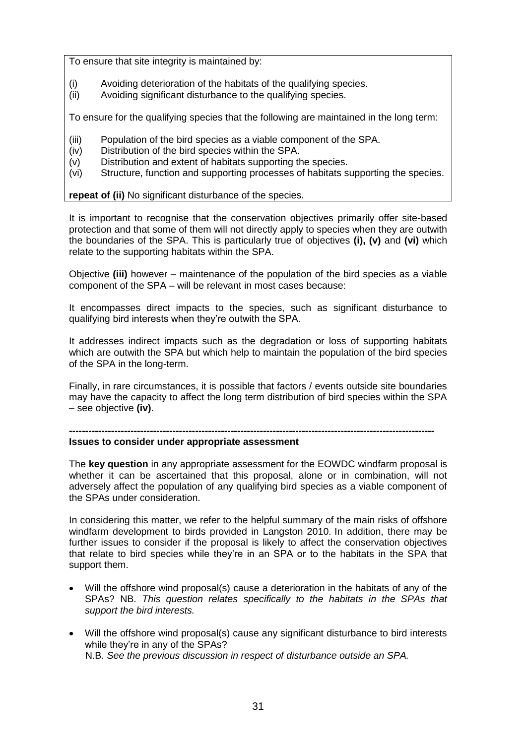To ensure that site integrity is maintained by:

- (i) Avoiding deterioration of the habitats of the qualifying species.
- (ii) Avoiding significant disturbance to the qualifying species.

To ensure for the qualifying species that the following are maintained in the long term:

- (iii) Population of the bird species as a viable component of the SPA.
- (iv) Distribution of the bird species within the SPA.
- (v) Distribution and extent of habitats supporting the species.
- (vi) Structure, function and supporting processes of habitats supporting the species.

### **repeat of (ii)** No significant disturbance of the species.

It is important to recognise that the conservation objectives primarily offer site-based protection and that some of them will not directly apply to species when they are outwith the boundaries of the SPA. This is particularly true of objectives **(i), (v)** and **(vi)** which relate to the supporting habitats within the SPA.

Objective **(iii)** however – maintenance of the population of the bird species as a viable component of the SPA – will be relevant in most cases because:

It encompasses direct impacts to the species, such as significant disturbance to qualifying bird interests when they"re outwith the SPA.

It addresses indirect impacts such as the degradation or loss of supporting habitats which are outwith the SPA but which help to maintain the population of the bird species of the SPA in the long-term.

Finally, in rare circumstances, it is possible that factors / events outside site boundaries may have the capacity to affect the long term distribution of bird species within the SPA – see objective **(iv)**.

### **-----------------------------------------------------------------------------------------------------------------**

## **Issues to consider under appropriate assessment**

The **key question** in any appropriate assessment for the EOWDC windfarm proposal is whether it can be ascertained that this proposal, alone or in combination, will not adversely affect the population of any qualifying bird species as a viable component of the SPAs under consideration.

In considering this matter, we refer to the helpful summary of the main risks of offshore windfarm development to birds provided in Langston 2010. In addition, there may be further issues to consider if the proposal is likely to affect the conservation objectives that relate to bird species while they"re in an SPA or to the habitats in the SPA that support them.

- Will the offshore wind proposal(s) cause a deterioration in the habitats of any of the SPAs? NB. *This question relates specifically to the habitats in the SPAs that support the bird interests.*
- Will the offshore wind proposal(s) cause any significant disturbance to bird interests while they"re in any of the SPAs? N.B. *See the previous discussion in respect of disturbance outside an SPA.*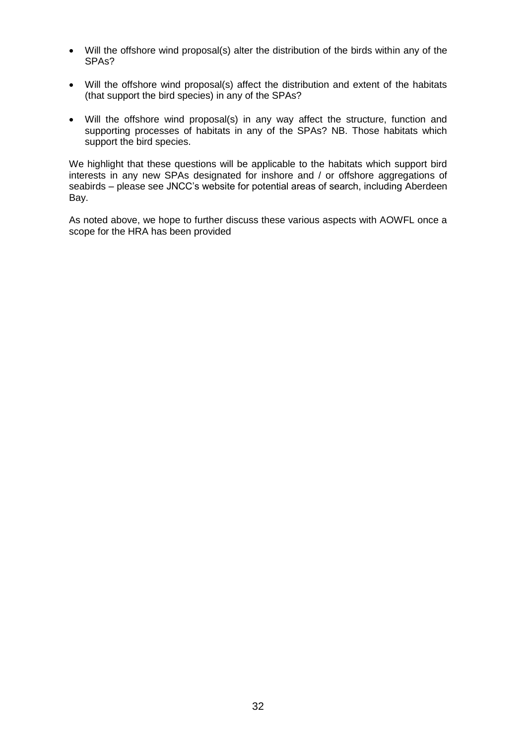- Will the offshore wind proposal(s) alter the distribution of the birds within any of the SPAs?
- Will the offshore wind proposal(s) affect the distribution and extent of the habitats (that support the bird species) in any of the SPAs?
- Will the offshore wind proposal(s) in any way affect the structure, function and supporting processes of habitats in any of the SPAs? NB. Those habitats which support the bird species.

We highlight that these questions will be applicable to the habitats which support bird interests in any new SPAs designated for inshore and / or offshore aggregations of seabirds – please see JNCC"s website for potential areas of search, including Aberdeen Bay.

As noted above, we hope to further discuss these various aspects with AOWFL once a scope for the HRA has been provided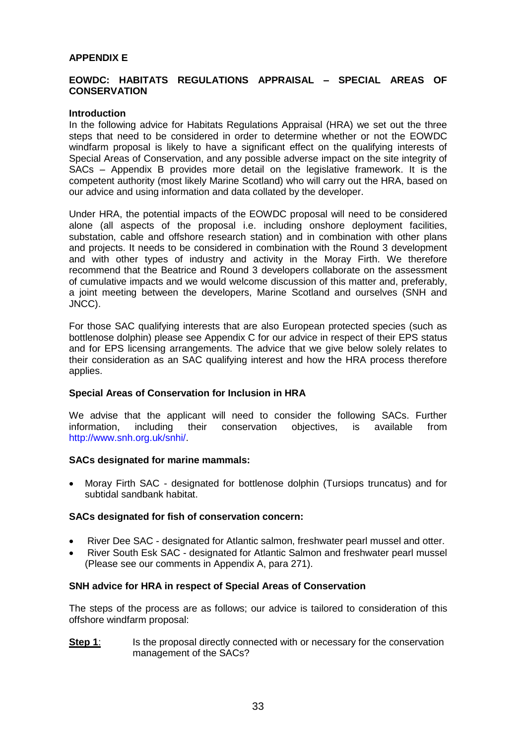#### **APPENDIX E**

#### **EOWDC: HABITATS REGULATIONS APPRAISAL – SPECIAL AREAS OF CONSERVATION**

#### **Introduction**

In the following advice for Habitats Regulations Appraisal (HRA) we set out the three steps that need to be considered in order to determine whether or not the EOWDC windfarm proposal is likely to have a significant effect on the qualifying interests of Special Areas of Conservation, and any possible adverse impact on the site integrity of SACs – Appendix B provides more detail on the legislative framework. It is the competent authority (most likely Marine Scotland) who will carry out the HRA, based on our advice and using information and data collated by the developer.

Under HRA, the potential impacts of the EOWDC proposal will need to be considered alone (all aspects of the proposal i.e. including onshore deployment facilities, substation, cable and offshore research station) and in combination with other plans and projects. It needs to be considered in combination with the Round 3 development and with other types of industry and activity in the Moray Firth. We therefore recommend that the Beatrice and Round 3 developers collaborate on the assessment of cumulative impacts and we would welcome discussion of this matter and, preferably, a joint meeting between the developers, Marine Scotland and ourselves (SNH and JNCC).

For those SAC qualifying interests that are also European protected species (such as bottlenose dolphin) please see Appendix C for our advice in respect of their EPS status and for EPS licensing arrangements. The advice that we give below solely relates to their consideration as an SAC qualifying interest and how the HRA process therefore applies.

#### **Special Areas of Conservation for Inclusion in HRA**

We advise that the applicant will need to consider the following SACs. Further information, including their conservation objectives, is available from http://www.snh.org.uk/snhi/.

#### **SACs designated for marine mammals:**

 Moray Firth SAC - designated for bottlenose dolphin (Tursiops truncatus) and for subtidal sandbank habitat.

#### **SACs designated for fish of conservation concern:**

- River Dee SAC designated for Atlantic salmon, freshwater pearl mussel and otter.
- River South Esk SAC designated for Atlantic Salmon and freshwater pearl mussel (Please see our comments in Appendix A, para 271).

#### **SNH advice for HRA in respect of Special Areas of Conservation**

The steps of the process are as follows; our advice is tailored to consideration of this offshore windfarm proposal:

**Step 1**: Is the proposal directly connected with or necessary for the conservation management of the SACs?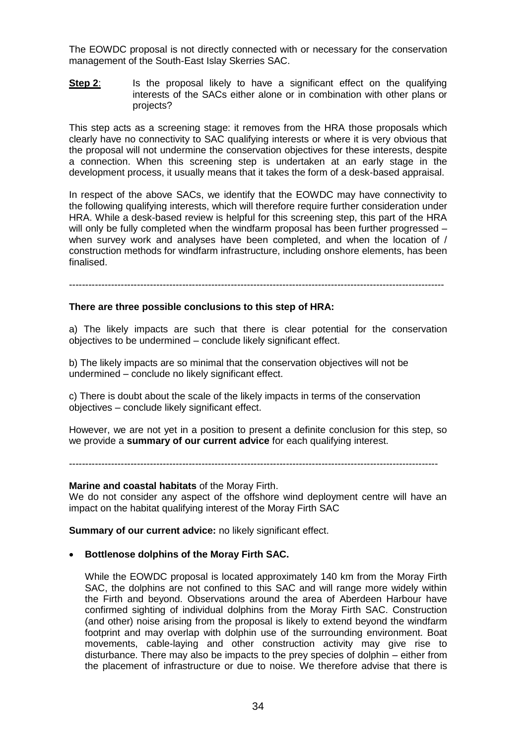The EOWDC proposal is not directly connected with or necessary for the conservation management of the South-East Islay Skerries SAC.

**Step 2:** Is the proposal likely to have a significant effect on the qualifying interests of the SACs either alone or in combination with other plans or projects?

This step acts as a screening stage: it removes from the HRA those proposals which clearly have no connectivity to SAC qualifying interests or where it is very obvious that the proposal will not undermine the conservation objectives for these interests, despite a connection. When this screening step is undertaken at an early stage in the development process, it usually means that it takes the form of a desk-based appraisal.

In respect of the above SACs, we identify that the EOWDC may have connectivity to the following qualifying interests, which will therefore require further consideration under HRA. While a desk-based review is helpful for this screening step, this part of the HRA will only be fully completed when the windfarm proposal has been further progressed – when survey work and analyses have been completed, and when the location of / construction methods for windfarm infrastructure, including onshore elements, has been finalised.

--------------------------------------------------------------------------------------------------------------------

#### **There are three possible conclusions to this step of HRA:**

a) The likely impacts are such that there is clear potential for the conservation objectives to be undermined – conclude likely significant effect.

b) The likely impacts are so minimal that the conservation objectives will not be undermined – conclude no likely significant effect.

c) There is doubt about the scale of the likely impacts in terms of the conservation objectives – conclude likely significant effect.

However, we are not yet in a position to present a definite conclusion for this step, so we provide a **summary of our current advice** for each qualifying interest.

------------------------------------------------------------------------------------------------------------------

#### **Marine and coastal habitats** of the Moray Firth.

We do not consider any aspect of the offshore wind deployment centre will have an impact on the habitat qualifying interest of the Moray Firth SAC

**Summary of our current advice:** no likely significant effect.

#### **Bottlenose dolphins of the Moray Firth SAC.**

While the EOWDC proposal is located approximately 140 km from the Moray Firth SAC, the dolphins are not confined to this SAC and will range more widely within the Firth and beyond. Observations around the area of Aberdeen Harbour have confirmed sighting of individual dolphins from the Moray Firth SAC. Construction (and other) noise arising from the proposal is likely to extend beyond the windfarm footprint and may overlap with dolphin use of the surrounding environment. Boat movements, cable-laying and other construction activity may give rise to disturbance. There may also be impacts to the prey species of dolphin – either from the placement of infrastructure or due to noise. We therefore advise that there is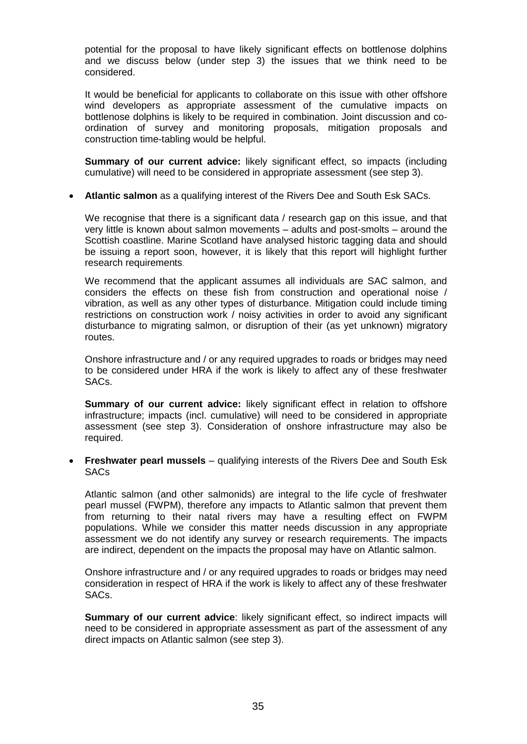potential for the proposal to have likely significant effects on bottlenose dolphins and we discuss below (under step 3) the issues that we think need to be considered.

It would be beneficial for applicants to collaborate on this issue with other offshore wind developers as appropriate assessment of the cumulative impacts on bottlenose dolphins is likely to be required in combination. Joint discussion and coordination of survey and monitoring proposals, mitigation proposals and construction time-tabling would be helpful.

**Summary of our current advice:** likely significant effect, so impacts (including cumulative) will need to be considered in appropriate assessment (see step 3).

**Atlantic salmon** as a qualifying interest of the Rivers Dee and South Esk SACs.

We recognise that there is a significant data / research gap on this issue, and that very little is known about salmon movements – adults and post-smolts – around the Scottish coastline. Marine Scotland have analysed historic tagging data and should be issuing a report soon, however, it is likely that this report will highlight further research requirements.

We recommend that the applicant assumes all individuals are SAC salmon, and considers the effects on these fish from construction and operational noise / vibration, as well as any other types of disturbance. Mitigation could include timing restrictions on construction work / noisy activities in order to avoid any significant disturbance to migrating salmon, or disruption of their (as yet unknown) migratory routes.

Onshore infrastructure and / or any required upgrades to roads or bridges may need to be considered under HRA if the work is likely to affect any of these freshwater SACs.

**Summary of our current advice:** likely significant effect in relation to offshore infrastructure; impacts (incl. cumulative) will need to be considered in appropriate assessment (see step 3). Consideration of onshore infrastructure may also be required.

 **Freshwater pearl mussels** – qualifying interests of the Rivers Dee and South Esk **SACs** 

Atlantic salmon (and other salmonids) are integral to the life cycle of freshwater pearl mussel (FWPM), therefore any impacts to Atlantic salmon that prevent them from returning to their natal rivers may have a resulting effect on FWPM populations. While we consider this matter needs discussion in any appropriate assessment we do not identify any survey or research requirements. The impacts are indirect, dependent on the impacts the proposal may have on Atlantic salmon.

Onshore infrastructure and / or any required upgrades to roads or bridges may need consideration in respect of HRA if the work is likely to affect any of these freshwater SACs.

**Summary of our current advice**: likely significant effect, so indirect impacts will need to be considered in appropriate assessment as part of the assessment of any direct impacts on Atlantic salmon (see step 3).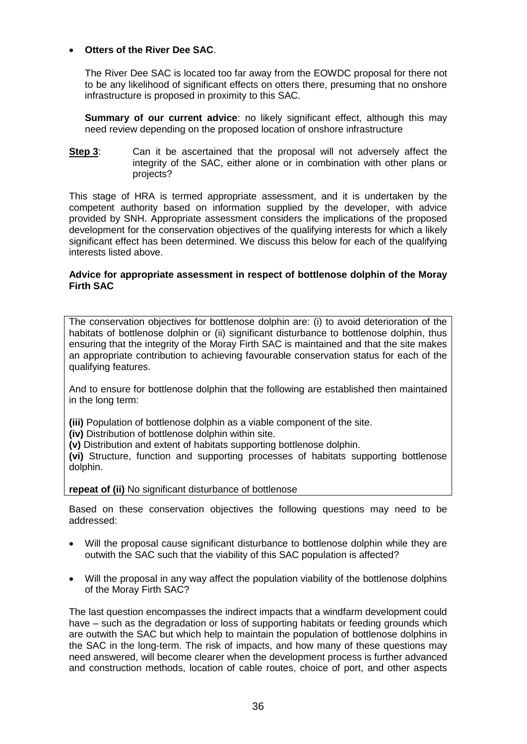### **Otters of the River Dee SAC**.

The River Dee SAC is located too far away from the EOWDC proposal for there not to be any likelihood of significant effects on otters there, presuming that no onshore infrastructure is proposed in proximity to this SAC.

**Summary of our current advice**: no likely significant effect, although this may need review depending on the proposed location of onshore infrastructure

**Step 3:** Can it be ascertained that the proposal will not adversely affect the integrity of the SAC, either alone or in combination with other plans or projects?

This stage of HRA is termed appropriate assessment, and it is undertaken by the competent authority based on information supplied by the developer, with advice provided by SNH. Appropriate assessment considers the implications of the proposed development for the conservation objectives of the qualifying interests for which a likely significant effect has been determined. We discuss this below for each of the qualifying interests listed above.

### **Advice for appropriate assessment in respect of bottlenose dolphin of the Moray Firth SAC**

The conservation objectives for bottlenose dolphin are: (i) to avoid deterioration of the habitats of bottlenose dolphin or (ii) significant disturbance to bottlenose dolphin, thus ensuring that the integrity of the Moray Firth SAC is maintained and that the site makes an appropriate contribution to achieving favourable conservation status for each of the qualifying features.

And to ensure for bottlenose dolphin that the following are established then maintained in the long term:

**(iii)** Population of bottlenose dolphin as a viable component of the site.

**(iv)** Distribution of bottlenose dolphin within site.

**(v)** Distribution and extent of habitats supporting bottlenose dolphin.

**(vi)** Structure, function and supporting processes of habitats supporting bottlenose dolphin.

**repeat of (ii)** No significant disturbance of bottlenose

Based on these conservation objectives the following questions may need to be addressed:

- Will the proposal cause significant disturbance to bottlenose dolphin while they are outwith the SAC such that the viability of this SAC population is affected?
- Will the proposal in any way affect the population viability of the bottlenose dolphins of the Moray Firth SAC?

The last question encompasses the indirect impacts that a windfarm development could have – such as the degradation or loss of supporting habitats or feeding grounds which are outwith the SAC but which help to maintain the population of bottlenose dolphins in the SAC in the long-term. The risk of impacts, and how many of these questions may need answered, will become clearer when the development process is further advanced and construction methods, location of cable routes, choice of port, and other aspects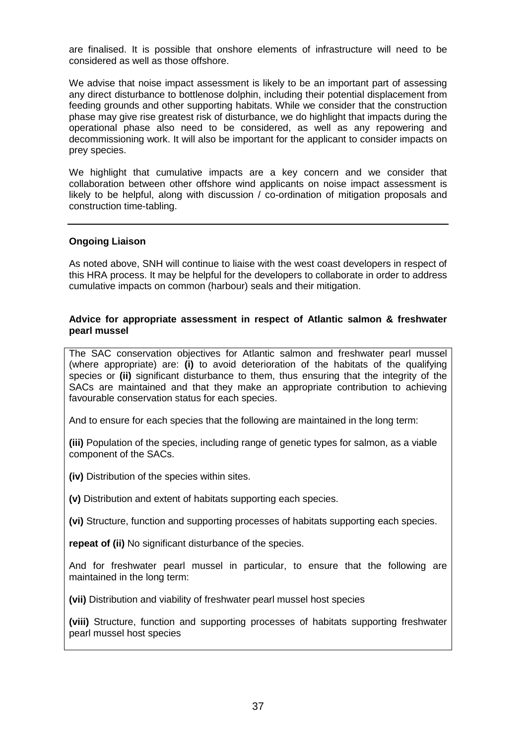are finalised. It is possible that onshore elements of infrastructure will need to be considered as well as those offshore.

We advise that noise impact assessment is likely to be an important part of assessing any direct disturbance to bottlenose dolphin, including their potential displacement from feeding grounds and other supporting habitats. While we consider that the construction phase may give rise greatest risk of disturbance, we do highlight that impacts during the operational phase also need to be considered, as well as any repowering and decommissioning work. It will also be important for the applicant to consider impacts on prey species.

We highlight that cumulative impacts are a key concern and we consider that collaboration between other offshore wind applicants on noise impact assessment is likely to be helpful, along with discussion / co-ordination of mitigation proposals and construction time-tabling.

#### **Ongoing Liaison**

As noted above, SNH will continue to liaise with the west coast developers in respect of this HRA process. It may be helpful for the developers to collaborate in order to address cumulative impacts on common (harbour) seals and their mitigation.

#### **Advice for appropriate assessment in respect of Atlantic salmon & freshwater pearl mussel**

The SAC conservation objectives for Atlantic salmon and freshwater pearl mussel (where appropriate) are: **(i)** to avoid deterioration of the habitats of the qualifying species or **(ii)** significant disturbance to them, thus ensuring that the integrity of the SACs are maintained and that they make an appropriate contribution to achieving favourable conservation status for each species.

And to ensure for each species that the following are maintained in the long term:

**(iii)** Population of the species, including range of genetic types for salmon, as a viable component of the SACs.

**(iv)** Distribution of the species within sites.

**(v)** Distribution and extent of habitats supporting each species.

**(vi)** Structure, function and supporting processes of habitats supporting each species.

**repeat of (ii)** No significant disturbance of the species.

And for freshwater pearl mussel in particular, to ensure that the following are maintained in the long term:

**(vii)** Distribution and viability of freshwater pearl mussel host species

**(viii)** Structure, function and supporting processes of habitats supporting freshwater pearl mussel host species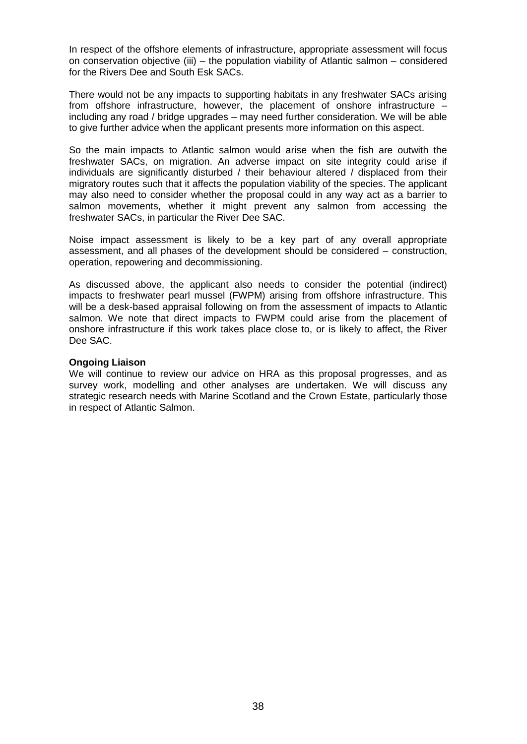In respect of the offshore elements of infrastructure, appropriate assessment will focus on conservation objective (iii) – the population viability of Atlantic salmon – considered for the Rivers Dee and South Esk SACs.

There would not be any impacts to supporting habitats in any freshwater SACs arising from offshore infrastructure, however, the placement of onshore infrastructure – including any road / bridge upgrades – may need further consideration. We will be able to give further advice when the applicant presents more information on this aspect.

So the main impacts to Atlantic salmon would arise when the fish are outwith the freshwater SACs, on migration. An adverse impact on site integrity could arise if individuals are significantly disturbed / their behaviour altered / displaced from their migratory routes such that it affects the population viability of the species. The applicant may also need to consider whether the proposal could in any way act as a barrier to salmon movements, whether it might prevent any salmon from accessing the freshwater SACs, in particular the River Dee SAC.

Noise impact assessment is likely to be a key part of any overall appropriate assessment, and all phases of the development should be considered – construction, operation, repowering and decommissioning.

As discussed above, the applicant also needs to consider the potential (indirect) impacts to freshwater pearl mussel (FWPM) arising from offshore infrastructure. This will be a desk-based appraisal following on from the assessment of impacts to Atlantic salmon. We note that direct impacts to FWPM could arise from the placement of onshore infrastructure if this work takes place close to, or is likely to affect, the River Dee SAC.

#### **Ongoing Liaison**

We will continue to review our advice on HRA as this proposal progresses, and as survey work, modelling and other analyses are undertaken. We will discuss any strategic research needs with Marine Scotland and the Crown Estate, particularly those in respect of Atlantic Salmon.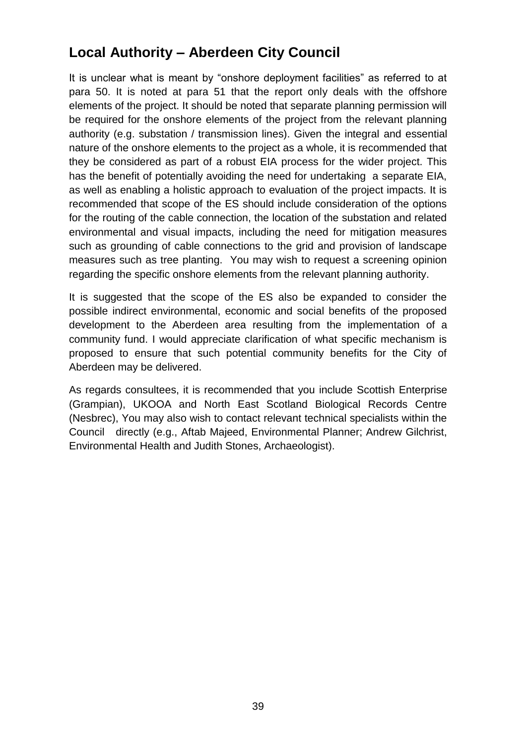# **Local Authority – Aberdeen City Council**

It is unclear what is meant by "onshore deployment facilities" as referred to at para 50. It is noted at para 51 that the report only deals with the offshore elements of the project. It should be noted that separate planning permission will be required for the onshore elements of the project from the relevant planning authority (e.g. substation / transmission lines). Given the integral and essential nature of the onshore elements to the project as a whole, it is recommended that they be considered as part of a robust EIA process for the wider project. This has the benefit of potentially avoiding the need for undertaking a separate EIA, as well as enabling a holistic approach to evaluation of the project impacts. It is recommended that scope of the ES should include consideration of the options for the routing of the cable connection, the location of the substation and related environmental and visual impacts, including the need for mitigation measures such as grounding of cable connections to the grid and provision of landscape measures such as tree planting. You may wish to request a screening opinion regarding the specific onshore elements from the relevant planning authority.

It is suggested that the scope of the ES also be expanded to consider the possible indirect environmental, economic and social benefits of the proposed development to the Aberdeen area resulting from the implementation of a community fund. I would appreciate clarification of what specific mechanism is proposed to ensure that such potential community benefits for the City of Aberdeen may be delivered.

As regards consultees, it is recommended that you include Scottish Enterprise (Grampian), UKOOA and North East Scotland Biological Records Centre (Nesbrec), You may also wish to contact relevant technical specialists within the Council directly (e.g., Aftab Majeed, Environmental Planner; Andrew Gilchrist, Environmental Health and Judith Stones, Archaeologist).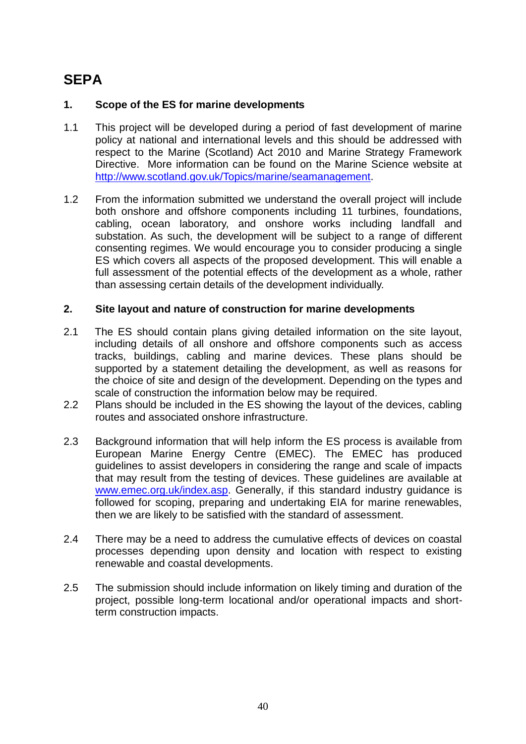# **SEPA**

## **1. Scope of the ES for marine developments**

- 1.1 This project will be developed during a period of fast development of marine policy at national and international levels and this should be addressed with respect to the Marine (Scotland) Act 2010 and Marine Strategy Framework Directive. More information can be found on the Marine Science website at [http://www.scotland.gov.uk/Topics/marine/seamanagement.](http://www.scotland.gov.uk/Topics/marine/seamanagement)
- 1.2 From the information submitted we understand the overall project will include both onshore and offshore components including 11 turbines, foundations, cabling, ocean laboratory, and onshore works including landfall and substation. As such, the development will be subject to a range of different consenting regimes. We would encourage you to consider producing a single ES which covers all aspects of the proposed development. This will enable a full assessment of the potential effects of the development as a whole, rather than assessing certain details of the development individually.

## **2. Site layout and nature of construction for marine developments**

- 2.1 The ES should contain plans giving detailed information on the site layout, including details of all onshore and offshore components such as access tracks, buildings, cabling and marine devices. These plans should be supported by a statement detailing the development, as well as reasons for the choice of site and design of the development. Depending on the types and scale of construction the information below may be required.
- 2.2 Plans should be included in the ES showing the layout of the devices, cabling routes and associated onshore infrastructure.
- 2.3 Background information that will help inform the ES process is available from European Marine Energy Centre (EMEC). The EMEC has produced guidelines to assist developers in considering the range and scale of impacts that may result from the testing of devices. These guidelines are available at [www.emec.org.uk/index.asp.](../../../jamie.burke/Desktop/www.emec.org.uk/index.asp) Generally, if this standard industry quidance is followed for scoping, preparing and undertaking EIA for marine renewables, then we are likely to be satisfied with the standard of assessment.
- 2.4 There may be a need to address the cumulative effects of devices on coastal processes depending upon density and location with respect to existing renewable and coastal developments.
- 2.5 The submission should include information on likely timing and duration of the project, possible long-term locational and/or operational impacts and shortterm construction impacts.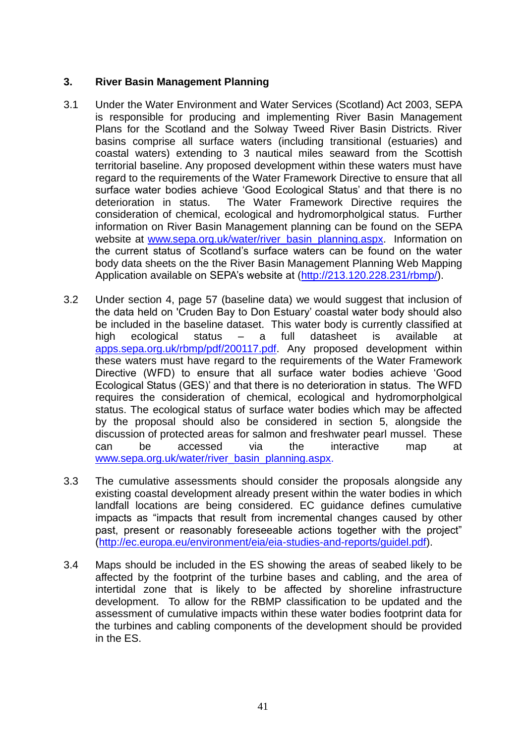## **3. River Basin Management Planning**

- 3.1 Under the Water Environment and Water Services (Scotland) Act 2003, SEPA is responsible for producing and implementing River Basin Management Plans for the Scotland and the Solway Tweed River Basin Districts. River basins comprise all surface waters (including transitional (estuaries) and coastal waters) extending to 3 nautical miles seaward from the Scottish territorial baseline. Any proposed development within these waters must have regard to the requirements of the Water Framework Directive to ensure that all surface water bodies achieve 'Good Ecological Status' and that there is no deterioration in status. The Water Framework Directive requires the consideration of chemical, ecological and hydromorpholgical status. Further information on River Basin Management planning can be found on the SEPA website at [www.sepa.org.uk/water/river\\_basin\\_planning.aspx.](../../../../../Planning%20Support%20Unit/Letter%20Templates/Local%20Settings/Temporary%20Internet%20Files/OLK10/www.sepa.org.uk/water/river_basin_planning.aspx) Information on the current status of Scotland"s surface waters can be found on the water body data sheets on the the River Basin Management Planning Web Mapping Application available on SEPA"s website at [\(http://213.120.228.231/rbmp/\)](http://213.120.228.231/rbmp/).
- 3.2 Under section 4, page 57 (baseline data) we would suggest that inclusion of the data held on 'Cruden Bay to Don Estuary" coastal water body should also be included in the baseline dataset. This water body is currently classified at high ecological status – a full datasheet is available at [apps.sepa.org.uk/rbmp/pdf/200117.pdf.](http://apps.sepa.org.uk/rbmp/pdf/200117.pdf) Any proposed development within these waters must have regard to the requirements of the Water Framework Directive (WFD) to ensure that all surface water bodies achieve "Good Ecological Status (GES)" and that there is no deterioration in status. The WFD requires the consideration of chemical, ecological and hydromorpholgical status. The ecological status of surface water bodies which may be affected by the proposal should also be considered in section 5, alongside the discussion of protected areas for salmon and freshwater pearl mussel. These can be accessed via the interactive map at [www.sepa.org.uk/water/river\\_basin\\_planning.aspx.](http://www.sepa.org.uk/water/river_basin_planning.aspx)
- 3.3 The cumulative assessments should consider the proposals alongside any existing coastal development already present within the water bodies in which landfall locations are being considered. EC guidance defines cumulative impacts as "impacts that result from incremental changes caused by other past, present or reasonably foreseeable actions together with the project" [\(http://ec.europa.eu/environment/eia/eia-studies-and-reports/guidel.pdf\)](http://ec.europa.eu/environment/eia/eia-studies-and-reports/guidel.pdf).
- 3.4 Maps should be included in the ES showing the areas of seabed likely to be affected by the footprint of the turbine bases and cabling, and the area of intertidal zone that is likely to be affected by shoreline infrastructure development. To allow for the RBMP classification to be updated and the assessment of cumulative impacts within these water bodies footprint data for the turbines and cabling components of the development should be provided in the ES.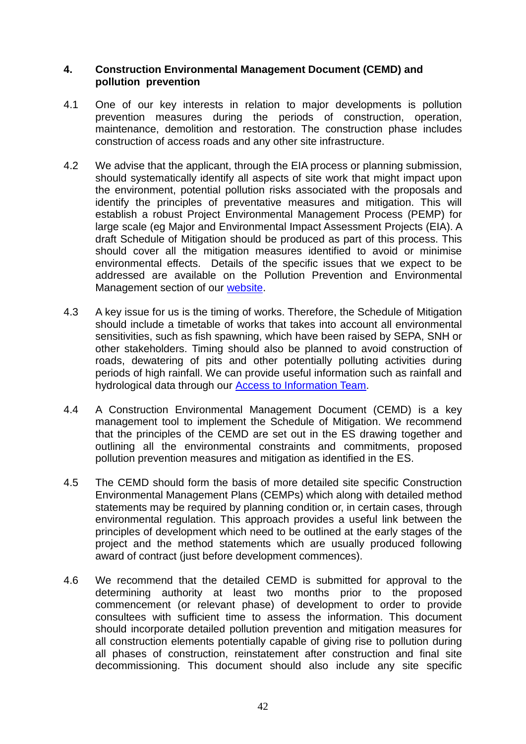## **4. Construction Environmental Management Document (CEMD) and pollution prevention**

- 4.1 One of our key interests in relation to major developments is pollution prevention measures during the periods of construction, operation, maintenance, demolition and restoration. The construction phase includes construction of access roads and any other site infrastructure.
- 4.2 We advise that the applicant, through the EIA process or planning submission, should systematically identify all aspects of site work that might impact upon the environment, potential pollution risks associated with the proposals and identify the principles of preventative measures and mitigation. This will establish a robust Project Environmental Management Process (PEMP) for large scale (eg Major and Environmental Impact Assessment Projects (EIA). A draft Schedule of Mitigation should be produced as part of this process. This should cover all the mitigation measures identified to avoid or minimise environmental effects. Details of the specific issues that we expect to be addressed are available on the Pollution Prevention and Environmental Management section of our [website.](http://www.sepa.org.uk/planning/construction_and_pollution.aspx)
- 4.3 A key issue for us is the timing of works. Therefore, the Schedule of Mitigation should include a timetable of works that takes into account all environmental sensitivities, such as fish spawning, which have been raised by SEPA, SNH or other stakeholders. Timing should also be planned to avoid construction of roads, dewatering of pits and other potentially polluting activities during periods of high rainfall. We can provide useful information such as rainfall and hydrological data through our [Access to Information Team.](http://www.sepa.org.uk/about_us/access_to_information.aspx)
- 4.4 A Construction Environmental Management Document (CEMD) is a key management tool to implement the Schedule of Mitigation. We recommend that the principles of the CEMD are set out in the ES drawing together and outlining all the environmental constraints and commitments, proposed pollution prevention measures and mitigation as identified in the ES.
- 4.5 The CEMD should form the basis of more detailed site specific Construction Environmental Management Plans (CEMPs) which along with detailed method statements may be required by planning condition or, in certain cases, through environmental regulation. This approach provides a useful link between the principles of development which need to be outlined at the early stages of the project and the method statements which are usually produced following award of contract (just before development commences).
- 4.6 We recommend that the detailed CEMD is submitted for approval to the determining authority at least two months prior to the proposed commencement (or relevant phase) of development to order to provide consultees with sufficient time to assess the information. This document should incorporate detailed pollution prevention and mitigation measures for all construction elements potentially capable of giving rise to pollution during all phases of construction, reinstatement after construction and final site decommissioning. This document should also include any site specific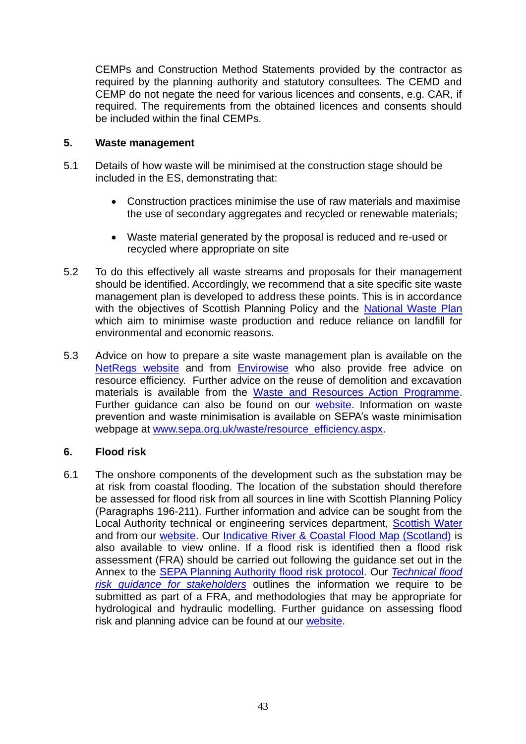CEMPs and Construction Method Statements provided by the contractor as required by the planning authority and statutory consultees. The CEMD and CEMP do not negate the need for various licences and consents, e.g. CAR, if required. The requirements from the obtained licences and consents should be included within the final CEMPs.

## **5. Waste management**

- 5.1 Details of how waste will be minimised at the construction stage should be included in the ES, demonstrating that:
	- Construction practices minimise the use of raw materials and maximise the use of secondary aggregates and recycled or renewable materials;
	- Waste material generated by the proposal is reduced and re-used or recycled where appropriate on site
- 5.2 To do this effectively all waste streams and proposals for their management should be identified. Accordingly, we recommend that a site specific site waste management plan is developed to address these points. This is in accordance with the objectives of Scottish Planning Policy and the [National Waste Plan](http://www.sepa.org.uk/waste/moving_towards_zero_waste/national_waste_plan.aspx) which aim to minimise waste production and reduce reliance on landfill for environmental and economic reasons.
- 5.3 Advice on how to prepare a site waste management plan is available on the [NetRegs website](http://www.netregs-swmp.co.uk/) and from [Envirowise](http://www.envirowise.gov.uk/uk/Our-Services/Publications/GG899-Site-Waste-Management-Plan-SWMP-Regulations-Guide-.html) who also provide free advice on resource efficiency. Further advice on the reuse of demolition and excavation materials is available from the [Waste and Resources Action Programme.](http://www.aggregain.org.uk/) Further quidance can also be found on our [website.](http://www.sepa.org.uk/planning/waste_management.aspx) Information on waste prevention and waste minimisation is available on SEPA"s waste minimisation webpage at [www.sepa.org.uk/waste/resource\\_efficiency.aspx.](http://www.sepa.org.uk/waste/resource_efficiency.aspx)

## **6. Flood risk**

6.1 The onshore components of the development such as the substation may be at risk from coastal flooding. The location of the substation should therefore be assessed for flood risk from all sources in line with Scottish Planning Policy (Paragraphs 196-211). Further information and advice can be sought from the Local Authority technical or engineering services department, [Scottish](http://www.scottishwater.co.uk/portal/page/portal/SWE_PGP_ABOUT_US/SWE_PGE_ABOUT_US/SWE_AU_CONTACT_US) Water and from our [website.](http://www.sepa.org.uk/planning/flood_risk.aspx) Our [Indicative River & Coastal Flood Map \(Scotland\)](http://www.sepa.org.uk/flooding/flood_map.aspx) is also available to view online. If a flood risk is identified then a flood risk assessment (FRA) should be carried out following the guidance set out in the Annex to the [SEPA Planning Authority flood risk protocol.](http://www.sepa.org.uk/flooding/idoc.ashx?docid=%205768590c-8a08-41ee-bad9-47640aa1b08a&version=-1) Our *[Technical flood](http://www.sepa.org.uk/flooding/flood_risk/idoc.ashx?docid=d5f02ffd-d027-4724-9f9f-76fdc7d33aab&version=-1)  [risk guidance for stakeholders](http://www.sepa.org.uk/flooding/flood_risk/idoc.ashx?docid=d5f02ffd-d027-4724-9f9f-76fdc7d33aab&version=-1)* outlines the information we require to be submitted as part of a FRA, and methodologies that may be appropriate for hydrological and hydraulic modelling. Further guidance on assessing flood risk and planning advice can be found at our [website.](http://www.sepa.org.uk/planning.aspx)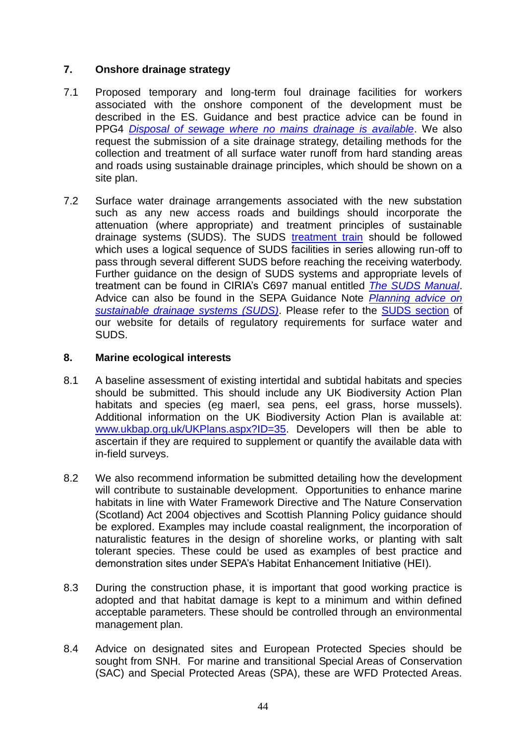# **7. Onshore drainage strategy**

- 7.1 Proposed temporary and long-term foul drainage facilities for workers associated with the onshore component of the development must be described in the ES. Guidance and best practice advice can be found in PPG4 *[Disposal of sewage where no mains drainage is available](http://www.environment-agency.gov.uk/netregs/businesses/62015.aspx)*. We also request the submission of a site drainage strategy, detailing methods for the collection and treatment of all surface water runoff from hard standing areas and roads using sustainable drainage principles, which should be shown on a site plan.
- 7.2 Surface water drainage arrangements associated with the new substation such as any new access roads and buildings should incorporate the attenuation (where appropriate) and treatment principles of sustainable drainage systems (SUDS). The SUDS [treatment train](http://www.sepa.org.uk/water/water_regulation/regimes/pollution_control/suds/suds_explained.aspx) should be followed which uses a logical sequence of SUDS facilities in series allowing run-off to pass through several different SUDS before reaching the receiving waterbody. Further guidance on the design of SUDS systems and appropriate levels of treatment can be found in CIRIA"s C697 manual entitled *[The SUDS Manual](http://www.ciria.org/service/AM/ContentManagerNet/favicon.ico)*. Advice can also be found in the SEPA Guidance Note *[Planning advice on](http://www.sepa.org.uk/customer_information/idoc.ashx?docid=5fd50bc2-4b50-42b7-ae88-fe61608119be&version=-1)  [sustainable drainage systems \(SUDS\)](http://www.sepa.org.uk/customer_information/idoc.ashx?docid=5fd50bc2-4b50-42b7-ae88-fe61608119be&version=-1)*. Please refer to the [SUDS section](http://www.sepa.org.uk/water/water_regulation/regimes/pollution_control/suds.aspx) of our website for details of regulatory requirements for surface water and SUDS.

## **8. Marine ecological interests**

- 8.1 A baseline assessment of existing intertidal and subtidal habitats and species should be submitted. This should include any UK Biodiversity Action Plan habitats and species (eg maerl, sea pens, eel grass, horse mussels). Additional information on the UK Biodiversity Action Plan is available at: [www.ukbap.org.uk/UKPlans.aspx?ID=35.](../../../jamie.burke/Desktop/www.ukbap.org.uk/UKPlans.aspx%3fID=35) Developers will then be able to ascertain if they are required to supplement or quantify the available data with in-field surveys.
- 8.2 We also recommend information be submitted detailing how the development will contribute to sustainable development. Opportunities to enhance marine habitats in line with Water Framework Directive and The Nature Conservation (Scotland) Act 2004 objectives and Scottish Planning Policy guidance should be explored. Examples may include coastal realignment, the incorporation of naturalistic features in the design of shoreline works, or planting with salt tolerant species. These could be used as examples of best practice and demonstration sites under SEPA"s Habitat Enhancement Initiative (HEI).
- 8.3 During the construction phase, it is important that good working practice is adopted and that habitat damage is kept to a minimum and within defined acceptable parameters. These should be controlled through an environmental management plan.
- 8.4 Advice on designated sites and European Protected Species should be sought from SNH. For marine and transitional Special Areas of Conservation (SAC) and Special Protected Areas (SPA), these are WFD Protected Areas.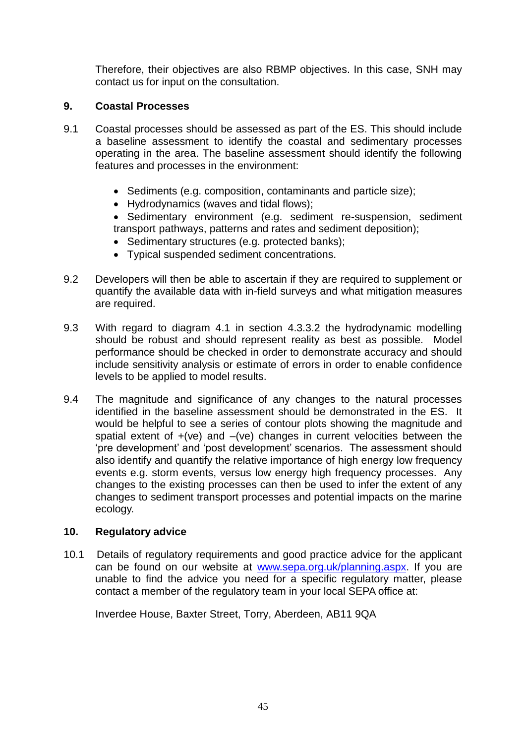Therefore, their objectives are also RBMP objectives. In this case, SNH may contact us for input on the consultation.

# **9. Coastal Processes**

- 9.1 Coastal processes should be assessed as part of the ES. This should include a baseline assessment to identify the coastal and sedimentary processes operating in the area. The baseline assessment should identify the following features and processes in the environment:
	- Sediments (e.g. composition, contaminants and particle size);
	- Hydrodynamics (waves and tidal flows);

 Sedimentary environment (e.g. sediment re-suspension, sediment transport pathways, patterns and rates and sediment deposition);

- Sedimentary structures (e.g. protected banks);
- Typical suspended sediment concentrations.
- 9.2 Developers will then be able to ascertain if they are required to supplement or quantify the available data with in-field surveys and what mitigation measures are required.
- 9.3 With regard to diagram 4.1 in section 4.3.3.2 the hydrodynamic modelling should be robust and should represent reality as best as possible. Model performance should be checked in order to demonstrate accuracy and should include sensitivity analysis or estimate of errors in order to enable confidence levels to be applied to model results.
- 9.4 The magnitude and significance of any changes to the natural processes identified in the baseline assessment should be demonstrated in the ES. It would be helpful to see a series of contour plots showing the magnitude and spatial extent of  $+(ve)$  and  $-(ve)$  changes in current velocities between the "pre development" and "post development" scenarios. The assessment should also identify and quantify the relative importance of high energy low frequency events e.g. storm events, versus low energy high frequency processes. Any changes to the existing processes can then be used to infer the extent of any changes to sediment transport processes and potential impacts on the marine ecology.

## **10. Regulatory advice**

10.1 Details of regulatory requirements and good practice advice for the applicant can be found on our website at [www.sepa.org.uk/planning.aspx.](http://www.sepa.org.uk/planning.aspx) If you are unable to find the advice you need for a specific regulatory matter, please contact a member of the regulatory team in your local SEPA office at:

Inverdee House, Baxter Street, Torry, Aberdeen, AB11 9QA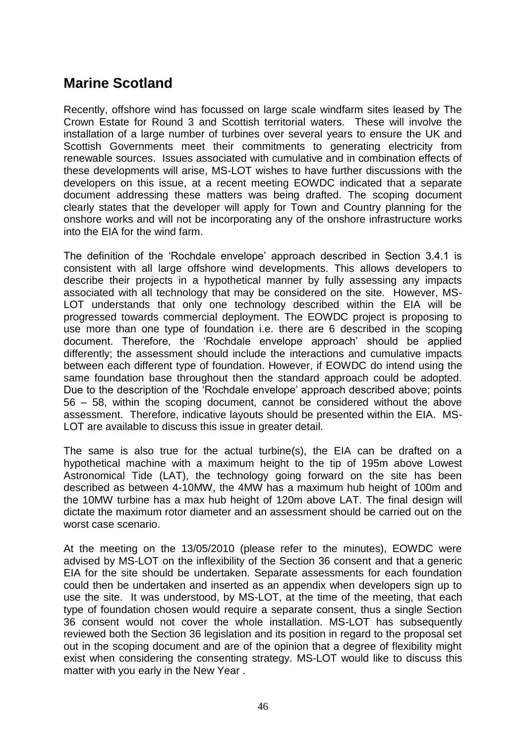# <span id="page-45-0"></span>**Marine Scotland**

Recently, offshore wind has focussed on large scale windfarm sites leased by The Crown Estate for Round 3 and Scottish territorial waters. These will involve the installation of a large number of turbines over several years to ensure the UK and Scottish Governments meet their commitments to generating electricity from renewable sources. Issues associated with cumulative and in combination effects of these developments will arise, MS-LOT wishes to have further discussions with the developers on this issue, at a recent meeting EOWDC indicated that a separate document addressing these matters was being drafted. The scoping document clearly states that the developer will apply for Town and Country planning for the onshore works and will not be incorporating any of the onshore infrastructure works into the EIA for the wind farm.

The definition of the "Rochdale envelope" approach described in Section 3.4.1 is consistent with all large offshore wind developments. This allows developers to describe their projects in a hypothetical manner by fully assessing any impacts associated with all technology that may be considered on the site. However, MS-LOT understands that only one technology described within the EIA will be progressed towards commercial deployment. The EOWDC project is proposing to use more than one type of foundation i.e. there are 6 described in the scoping document. Therefore, the "Rochdale envelope approach" should be applied differently; the assessment should include the interactions and cumulative impacts between each different type of foundation. However, if EOWDC do intend using the same foundation base throughout then the standard approach could be adopted. Due to the description of the "Rochdale envelope" approach described above; points 56 – 58, within the scoping document, cannot be considered without the above assessment. Therefore, indicative layouts should be presented within the EIA. MS-LOT are available to discuss this issue in greater detail.

The same is also true for the actual turbine(s), the EIA can be drafted on a hypothetical machine with a maximum height to the tip of 195m above Lowest Astronomical Tide (LAT), the technology going forward on the site has been described as between 4-10MW, the 4MW has a maximum hub height of 100m and the 10MW turbine has a max hub height of 120m above LAT. The final design will dictate the maximum rotor diameter and an assessment should be carried out on the worst case scenario.

At the meeting on the 13/05/2010 (please refer to the minutes), EOWDC were advised by MS-LOT on the inflexibility of the Section 36 consent and that a generic EIA for the site should be undertaken. Separate assessments for each foundation could then be undertaken and inserted as an appendix when developers sign up to use the site. It was understood, by MS-LOT, at the time of the meeting, that each type of foundation chosen would require a separate consent, thus a single Section 36 consent would not cover the whole installation. MS-LOT has subsequently reviewed both the Section 36 legislation and its position in regard to the proposal set out in the scoping document and are of the opinion that a degree of flexibility might exist when considering the consenting strategy. MS-LOT would like to discuss this matter with you early in the New Year .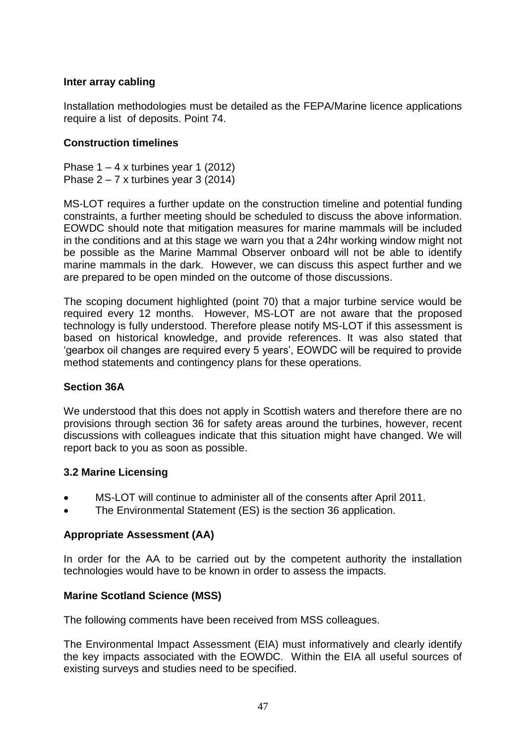## **Inter array cabling**

Installation methodologies must be detailed as the FEPA/Marine licence applications require a list of deposits. Point 74.

## **Construction timelines**

Phase  $1 - 4$  x turbines year 1 (2012) Phase 2 – 7 x turbines year 3 (2014)

MS-LOT requires a further update on the construction timeline and potential funding constraints, a further meeting should be scheduled to discuss the above information. EOWDC should note that mitigation measures for marine mammals will be included in the conditions and at this stage we warn you that a 24hr working window might not be possible as the Marine Mammal Observer onboard will not be able to identify marine mammals in the dark. However, we can discuss this aspect further and we are prepared to be open minded on the outcome of those discussions.

The scoping document highlighted (point 70) that a major turbine service would be required every 12 months. However, MS-LOT are not aware that the proposed technology is fully understood. Therefore please notify MS-LOT if this assessment is based on historical knowledge, and provide references. It was also stated that "gearbox oil changes are required every 5 years", EOWDC will be required to provide method statements and contingency plans for these operations.

## **Section 36A**

We understood that this does not apply in Scottish waters and therefore there are no provisions through section 36 for safety areas around the turbines, however, recent discussions with colleagues indicate that this situation might have changed. We will report back to you as soon as possible.

## **3.2 Marine Licensing**

- MS-LOT will continue to administer all of the consents after April 2011.
- The Environmental Statement (ES) is the section 36 application.

# **Appropriate Assessment (AA)**

In order for the AA to be carried out by the competent authority the installation technologies would have to be known in order to assess the impacts.

## **Marine Scotland Science (MSS)**

The following comments have been received from MSS colleagues.

The Environmental Impact Assessment (EIA) must informatively and clearly identify the key impacts associated with the EOWDC. Within the EIA all useful sources of existing surveys and studies need to be specified.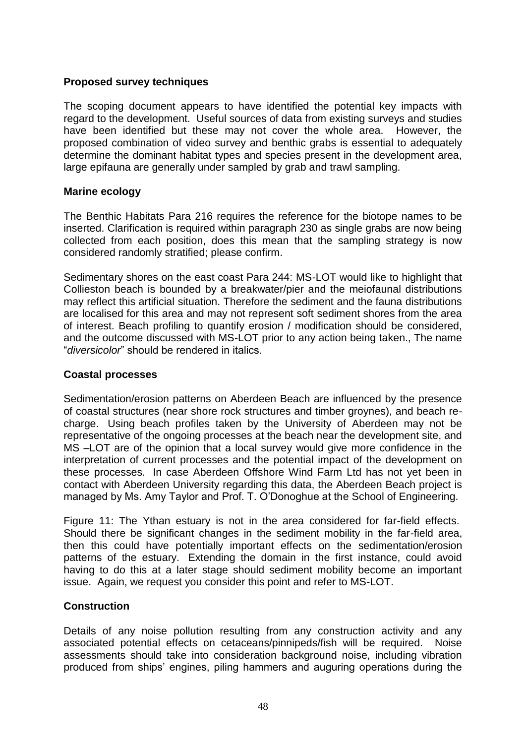## **Proposed survey techniques**

The scoping document appears to have identified the potential key impacts with regard to the development. Useful sources of data from existing surveys and studies have been identified but these may not cover the whole area. However, the proposed combination of video survey and benthic grabs is essential to adequately determine the dominant habitat types and species present in the development area, large epifauna are generally under sampled by grab and trawl sampling.

## **Marine ecology**

The Benthic Habitats Para 216 requires the reference for the biotope names to be inserted. Clarification is required within paragraph 230 as single grabs are now being collected from each position, does this mean that the sampling strategy is now considered randomly stratified; please confirm.

Sedimentary shores on the east coast Para 244: MS-LOT would like to highlight that Collieston beach is bounded by a breakwater/pier and the meiofaunal distributions may reflect this artificial situation. Therefore the sediment and the fauna distributions are localised for this area and may not represent soft sediment shores from the area of interest. Beach profiling to quantify erosion / modification should be considered, and the outcome discussed with MS-LOT prior to any action being taken., The name "*diversicolor*" should be rendered in italics.

## **Coastal processes**

Sedimentation/erosion patterns on Aberdeen Beach are influenced by the presence of coastal structures (near shore rock structures and timber groynes), and beach recharge. Using beach profiles taken by the University of Aberdeen may not be representative of the ongoing processes at the beach near the development site, and MS –LOT are of the opinion that a local survey would give more confidence in the interpretation of current processes and the potential impact of the development on these processes. In case Aberdeen Offshore Wind Farm Ltd has not yet been in contact with Aberdeen University regarding this data, the Aberdeen Beach project is managed by Ms. Amy Taylor and Prof. T. O"Donoghue at the School of Engineering.

Figure 11: The Ythan estuary is not in the area considered for far-field effects. Should there be significant changes in the sediment mobility in the far-field area, then this could have potentially important effects on the sedimentation/erosion patterns of the estuary. Extending the domain in the first instance, could avoid having to do this at a later stage should sediment mobility become an important issue. Again, we request you consider this point and refer to MS-LOT.

## **Construction**

Details of any noise pollution resulting from any construction activity and any associated potential effects on cetaceans/pinnipeds/fish will be required. Noise assessments should take into consideration background noise, including vibration produced from ships" engines, piling hammers and auguring operations during the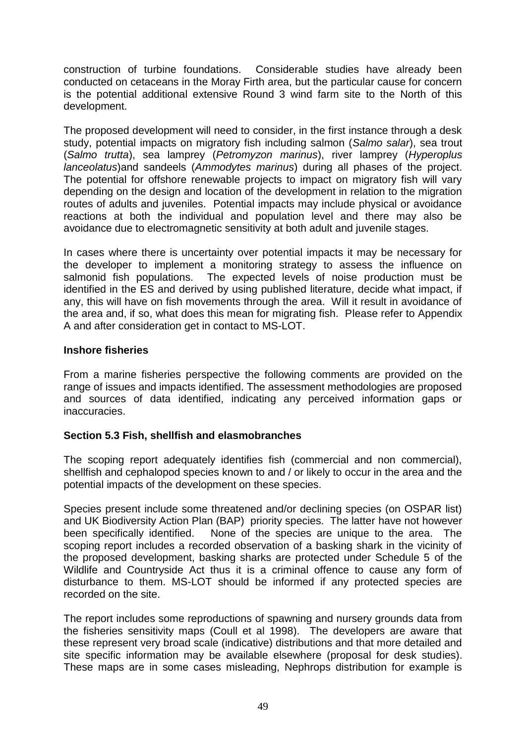construction of turbine foundations. Considerable studies have already been conducted on cetaceans in the Moray Firth area, but the particular cause for concern is the potential additional extensive Round 3 wind farm site to the North of this development.

The proposed development will need to consider, in the first instance through a desk study, potential impacts on migratory fish including salmon (*Salmo salar*), sea trout (*Salmo trutta*), sea lamprey (*Petromyzon marinus*), river lamprey (*Hyperoplus lanceolatus*)and sandeels (*Ammodytes marinus*) during all phases of the project. The potential for offshore renewable projects to impact on migratory fish will vary depending on the design and location of the development in relation to the migration routes of adults and juveniles. Potential impacts may include physical or avoidance reactions at both the individual and population level and there may also be avoidance due to electromagnetic sensitivity at both adult and juvenile stages.

In cases where there is uncertainty over potential impacts it may be necessary for the developer to implement a monitoring strategy to assess the influence on salmonid fish populations. The expected levels of noise production must be identified in the ES and derived by using published literature, decide what impact, if any, this will have on fish movements through the area. Will it result in avoidance of the area and, if so, what does this mean for migrating fish. Please refer to Appendix A and after consideration get in contact to MS-LOT.

## **Inshore fisheries**

From a marine fisheries perspective the following comments are provided on the range of issues and impacts identified. The assessment methodologies are proposed and sources of data identified, indicating any perceived information gaps or inaccuracies.

## **Section 5.3 Fish, shellfish and elasmobranches**

The scoping report adequately identifies fish (commercial and non commercial), shellfish and cephalopod species known to and / or likely to occur in the area and the potential impacts of the development on these species.

Species present include some threatened and/or declining species (on OSPAR list) and UK Biodiversity Action Plan (BAP) priority species. The latter have not however been specifically identified. None of the species are unique to the area. The scoping report includes a recorded observation of a basking shark in the vicinity of the proposed development, basking sharks are protected under Schedule 5 of the Wildlife and Countryside Act thus it is a criminal offence to cause any form of disturbance to them. MS-LOT should be informed if any protected species are recorded on the site.

The report includes some reproductions of spawning and nursery grounds data from the fisheries sensitivity maps (Coull et al 1998). The developers are aware that these represent very broad scale (indicative) distributions and that more detailed and site specific information may be available elsewhere (proposal for desk studies). These maps are in some cases misleading, Nephrops distribution for example is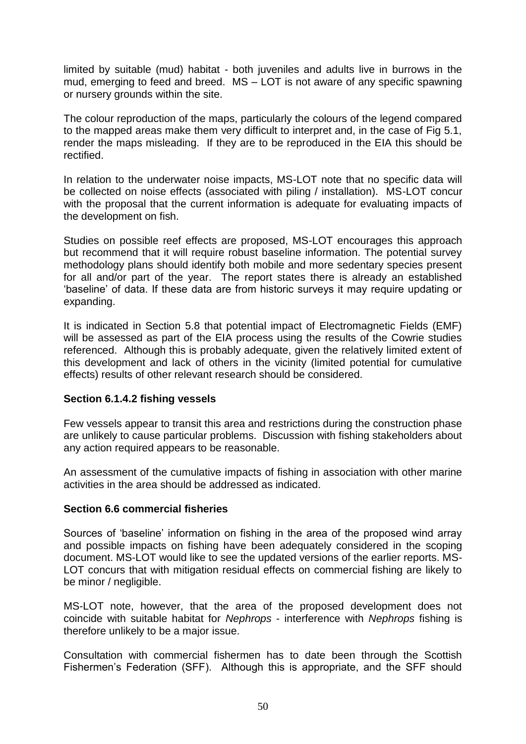limited by suitable (mud) habitat - both juveniles and adults live in burrows in the mud, emerging to feed and breed. MS – LOT is not aware of any specific spawning or nursery grounds within the site.

The colour reproduction of the maps, particularly the colours of the legend compared to the mapped areas make them very difficult to interpret and, in the case of Fig 5.1, render the maps misleading. If they are to be reproduced in the EIA this should be rectified.

In relation to the underwater noise impacts, MS-LOT note that no specific data will be collected on noise effects (associated with piling / installation). MS-LOT concur with the proposal that the current information is adequate for evaluating impacts of the development on fish.

Studies on possible reef effects are proposed, MS-LOT encourages this approach but recommend that it will require robust baseline information. The potential survey methodology plans should identify both mobile and more sedentary species present for all and/or part of the year. The report states there is already an established "baseline" of data. If these data are from historic surveys it may require updating or expanding.

It is indicated in Section 5.8 that potential impact of Electromagnetic Fields (EMF) will be assessed as part of the EIA process using the results of the Cowrie studies referenced. Although this is probably adequate, given the relatively limited extent of this development and lack of others in the vicinity (limited potential for cumulative effects) results of other relevant research should be considered.

## **Section 6.1.4.2 fishing vessels**

Few vessels appear to transit this area and restrictions during the construction phase are unlikely to cause particular problems. Discussion with fishing stakeholders about any action required appears to be reasonable.

An assessment of the cumulative impacts of fishing in association with other marine activities in the area should be addressed as indicated.

## **Section 6.6 commercial fisheries**

Sources of "baseline" information on fishing in the area of the proposed wind array and possible impacts on fishing have been adequately considered in the scoping document. MS-LOT would like to see the updated versions of the earlier reports. MS-LOT concurs that with mitigation residual effects on commercial fishing are likely to be minor / negligible.

MS-LOT note, however, that the area of the proposed development does not coincide with suitable habitat for *Nephrops* - interference with *Nephrops* fishing is therefore unlikely to be a major issue.

Consultation with commercial fishermen has to date been through the Scottish Fishermen"s Federation (SFF). Although this is appropriate, and the SFF should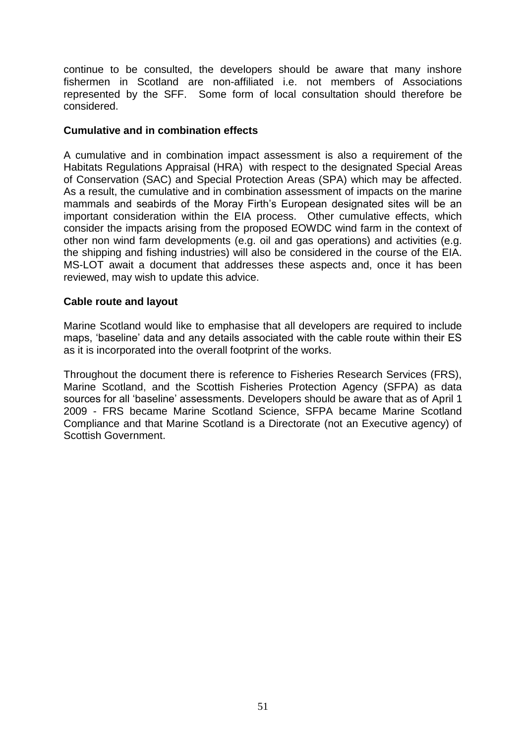continue to be consulted, the developers should be aware that many inshore fishermen in Scotland are non-affiliated i.e. not members of Associations represented by the SFF. Some form of local consultation should therefore be considered.

## **Cumulative and in combination effects**

A cumulative and in combination impact assessment is also a requirement of the Habitats Regulations Appraisal (HRA) with respect to the designated Special Areas of Conservation (SAC) and Special Protection Areas (SPA) which may be affected. As a result, the cumulative and in combination assessment of impacts on the marine mammals and seabirds of the Moray Firth"s European designated sites will be an important consideration within the EIA process. Other cumulative effects, which consider the impacts arising from the proposed EOWDC wind farm in the context of other non wind farm developments (e.g. oil and gas operations) and activities (e.g. the shipping and fishing industries) will also be considered in the course of the EIA. MS-LOT await a document that addresses these aspects and, once it has been reviewed, may wish to update this advice.

### **Cable route and layout**

Marine Scotland would like to emphasise that all developers are required to include maps, "baseline" data and any details associated with the cable route within their ES as it is incorporated into the overall footprint of the works.

Throughout the document there is reference to Fisheries Research Services (FRS), Marine Scotland, and the Scottish Fisheries Protection Agency (SFPA) as data sources for all "baseline" assessments. Developers should be aware that as of April 1 2009 - FRS became Marine Scotland Science, SFPA became Marine Scotland Compliance and that Marine Scotland is a Directorate (not an Executive agency) of Scottish Government.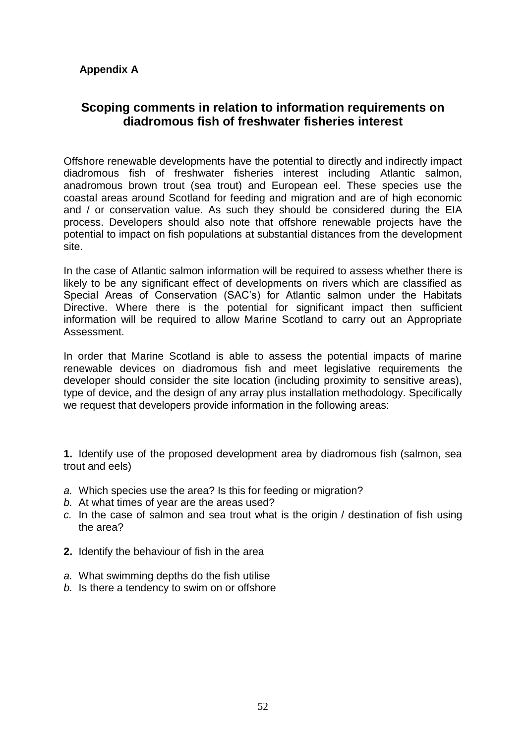# **Appendix A**

# **Scoping comments in relation to information requirements on diadromous fish of freshwater fisheries interest**

Offshore renewable developments have the potential to directly and indirectly impact diadromous fish of freshwater fisheries interest including Atlantic salmon, anadromous brown trout (sea trout) and European eel. These species use the coastal areas around Scotland for feeding and migration and are of high economic and / or conservation value. As such they should be considered during the EIA process. Developers should also note that offshore renewable projects have the potential to impact on fish populations at substantial distances from the development site.

In the case of Atlantic salmon information will be required to assess whether there is likely to be any significant effect of developments on rivers which are classified as Special Areas of Conservation (SAC"s) for Atlantic salmon under the Habitats Directive. Where there is the potential for significant impact then sufficient information will be required to allow Marine Scotland to carry out an Appropriate Assessment.

In order that Marine Scotland is able to assess the potential impacts of marine renewable devices on diadromous fish and meet legislative requirements the developer should consider the site location (including proximity to sensitive areas), type of device, and the design of any array plus installation methodology. Specifically we request that developers provide information in the following areas:

**1.** Identify use of the proposed development area by diadromous fish (salmon, sea trout and eels)

- *a.* Which species use the area? Is this for feeding or migration?
- *b.* At what times of year are the areas used?
- *c.* In the case of salmon and sea trout what is the origin / destination of fish using the area?
- **2.** Identify the behaviour of fish in the area
- *a.* What swimming depths do the fish utilise
- *b.* Is there a tendency to swim on or offshore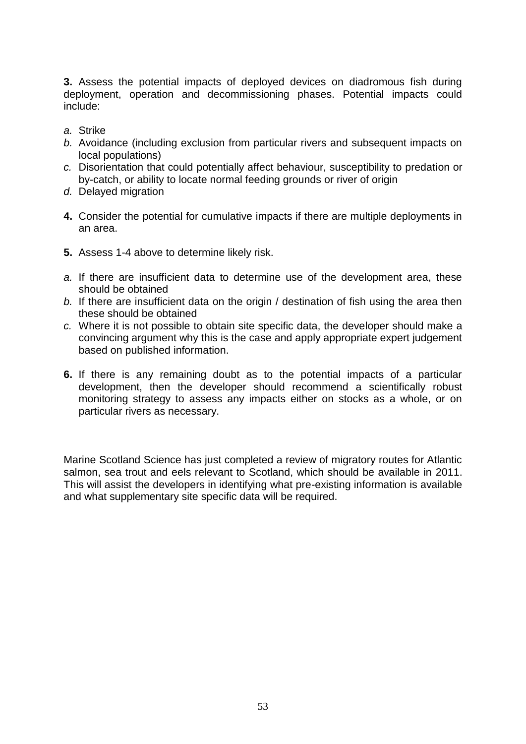**3.** Assess the potential impacts of deployed devices on diadromous fish during deployment, operation and decommissioning phases. Potential impacts could include:

- *a.* Strike
- *b.* Avoidance (including exclusion from particular rivers and subsequent impacts on local populations)
- *c.* Disorientation that could potentially affect behaviour, susceptibility to predation or by-catch, or ability to locate normal feeding grounds or river of origin
- *d.* Delayed migration
- **4.** Consider the potential for cumulative impacts if there are multiple deployments in an area.
- **5.** Assess 1-4 above to determine likely risk.
- *a.* If there are insufficient data to determine use of the development area, these should be obtained
- *b.* If there are insufficient data on the origin / destination of fish using the area then these should be obtained
- *c.* Where it is not possible to obtain site specific data, the developer should make a convincing argument why this is the case and apply appropriate expert judgement based on published information.
- **6.** If there is any remaining doubt as to the potential impacts of a particular development, then the developer should recommend a scientifically robust monitoring strategy to assess any impacts either on stocks as a whole, or on particular rivers as necessary.

Marine Scotland Science has just completed a review of migratory routes for Atlantic salmon, sea trout and eels relevant to Scotland, which should be available in 2011. This will assist the developers in identifying what pre-existing information is available and what supplementary site specific data will be required.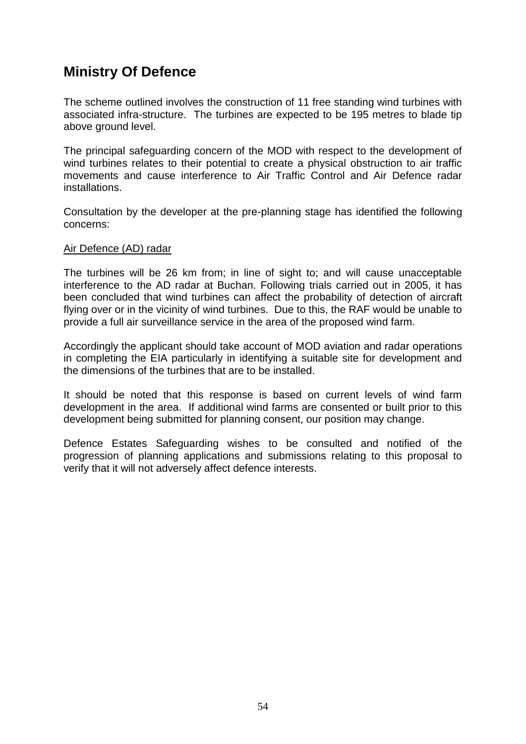# **Ministry Of Defence**

The scheme outlined involves the construction of 11 free standing wind turbines with associated infra-structure. The turbines are expected to be 195 metres to blade tip above ground level.

The principal safeguarding concern of the MOD with respect to the development of wind turbines relates to their potential to create a physical obstruction to air traffic movements and cause interference to Air Traffic Control and Air Defence radar installations.

Consultation by the developer at the pre-planning stage has identified the following concerns:

### Air Defence (AD) radar

The turbines will be 26 km from; in line of sight to; and will cause unacceptable interference to the AD radar at Buchan. Following trials carried out in 2005, it has been concluded that wind turbines can affect the probability of detection of aircraft flying over or in the vicinity of wind turbines. Due to this, the RAF would be unable to provide a full air surveillance service in the area of the proposed wind farm.

Accordingly the applicant should take account of MOD aviation and radar operations in completing the EIA particularly in identifying a suitable site for development and the dimensions of the turbines that are to be installed.

It should be noted that this response is based on current levels of wind farm development in the area. If additional wind farms are consented or built prior to this development being submitted for planning consent, our position may change.

Defence Estates Safeguarding wishes to be consulted and notified of the progression of planning applications and submissions relating to this proposal to verify that it will not adversely affect defence interests.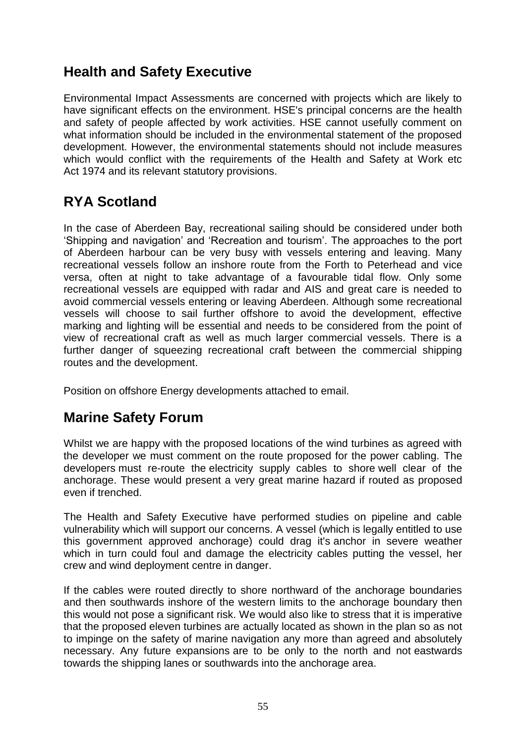# **Health and Safety Executive**

Environmental Impact Assessments are concerned with projects which are likely to have significant effects on the environment. HSE's principal concerns are the health and safety of people affected by work activities. HSE cannot usefully comment on what information should be included in the environmental statement of the proposed development. However, the environmental statements should not include measures which would conflict with the requirements of the Health and Safety at Work etc Act 1974 and its relevant statutory provisions.

# **RYA Scotland**

In the case of Aberdeen Bay, recreational sailing should be considered under both "Shipping and navigation" and "Recreation and tourism". The approaches to the port of Aberdeen harbour can be very busy with vessels entering and leaving. Many recreational vessels follow an inshore route from the Forth to Peterhead and vice versa, often at night to take advantage of a favourable tidal flow. Only some recreational vessels are equipped with radar and AIS and great care is needed to avoid commercial vessels entering or leaving Aberdeen. Although some recreational vessels will choose to sail further offshore to avoid the development, effective marking and lighting will be essential and needs to be considered from the point of view of recreational craft as well as much larger commercial vessels. There is a further danger of squeezing recreational craft between the commercial shipping routes and the development.

Position on offshore Energy developments attached to email.

# **Marine Safety Forum**

Whilst we are happy with the proposed locations of the wind turbines as agreed with the developer we must comment on the route proposed for the power cabling. The developers must re-route the electricity supply cables to shore well clear of the anchorage. These would present a very great marine hazard if routed as proposed even if trenched.

The Health and Safety Executive have performed studies on pipeline and cable vulnerability which will support our concerns. A vessel (which is legally entitled to use this government approved anchorage) could drag it's anchor in severe weather which in turn could foul and damage the electricity cables putting the vessel, her crew and wind deployment centre in danger.

If the cables were routed directly to shore northward of the anchorage boundaries and then southwards inshore of the western limits to the anchorage boundary then this would not pose a significant risk. We would also like to stress that it is imperative that the proposed eleven turbines are actually located as shown in the plan so as not to impinge on the safety of marine navigation any more than agreed and absolutely necessary. Any future expansions are to be only to the north and not eastwards towards the shipping lanes or southwards into the anchorage area.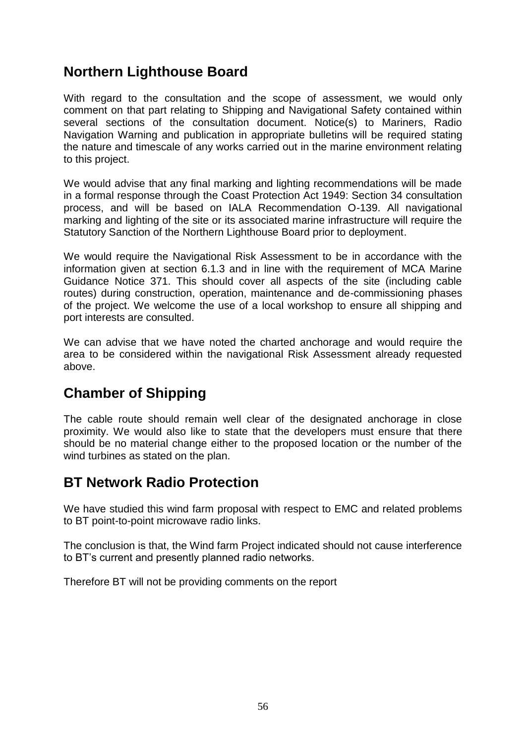# **Northern Lighthouse Board**

With regard to the consultation and the scope of assessment, we would only comment on that part relating to Shipping and Navigational Safety contained within several sections of the consultation document. Notice(s) to Mariners, Radio Navigation Warning and publication in appropriate bulletins will be required stating the nature and timescale of any works carried out in the marine environment relating to this project.

We would advise that any final marking and lighting recommendations will be made in a formal response through the Coast Protection Act 1949: Section 34 consultation process, and will be based on IALA Recommendation O-139. All navigational marking and lighting of the site or its associated marine infrastructure will require the Statutory Sanction of the Northern Lighthouse Board prior to deployment.

We would require the Navigational Risk Assessment to be in accordance with the information given at section 6.1.3 and in line with the requirement of MCA Marine Guidance Notice 371. This should cover all aspects of the site (including cable routes) during construction, operation, maintenance and de-commissioning phases of the project. We welcome the use of a local workshop to ensure all shipping and port interests are consulted.

We can advise that we have noted the charted anchorage and would require the area to be considered within the navigational Risk Assessment already requested above.

# **Chamber of Shipping**

The cable route should remain well clear of the designated anchorage in close proximity. We would also like to state that the developers must ensure that there should be no material change either to the proposed location or the number of the wind turbines as stated on the plan.

# **BT Network Radio Protection**

We have studied this wind farm proposal with respect to EMC and related problems to BT point-to-point microwave radio links.

The conclusion is that, the Wind farm Project indicated should not cause interference to BT"s current and presently planned radio networks.

Therefore BT will not be providing comments on the report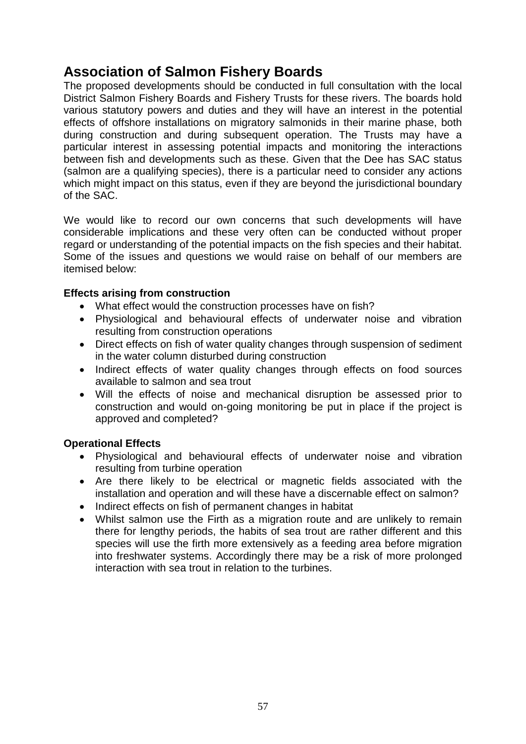# **Association of Salmon Fishery Boards**

The proposed developments should be conducted in full consultation with the local District Salmon Fishery Boards and Fishery Trusts for these rivers. The boards hold various statutory powers and duties and they will have an interest in the potential effects of offshore installations on migratory salmonids in their marine phase, both during construction and during subsequent operation. The Trusts may have a particular interest in assessing potential impacts and monitoring the interactions between fish and developments such as these. Given that the Dee has SAC status (salmon are a qualifying species), there is a particular need to consider any actions which might impact on this status, even if they are beyond the jurisdictional boundary of the SAC.

We would like to record our own concerns that such developments will have considerable implications and these very often can be conducted without proper regard or understanding of the potential impacts on the fish species and their habitat. Some of the issues and questions we would raise on behalf of our members are itemised below:

# **Effects arising from construction**

- What effect would the construction processes have on fish?
- Physiological and behavioural effects of underwater noise and vibration resulting from construction operations
- Direct effects on fish of water quality changes through suspension of sediment in the water column disturbed during construction
- Indirect effects of water quality changes through effects on food sources available to salmon and sea trout
- Will the effects of noise and mechanical disruption be assessed prior to construction and would on-going monitoring be put in place if the project is approved and completed?

# **Operational Effects**

- Physiological and behavioural effects of underwater noise and vibration resulting from turbine operation
- Are there likely to be electrical or magnetic fields associated with the installation and operation and will these have a discernable effect on salmon?
- Indirect effects on fish of permanent changes in habitat
- Whilst salmon use the Firth as a migration route and are unlikely to remain there for lengthy periods, the habits of sea trout are rather different and this species will use the firth more extensively as a feeding area before migration into freshwater systems. Accordingly there may be a risk of more prolonged interaction with sea trout in relation to the turbines.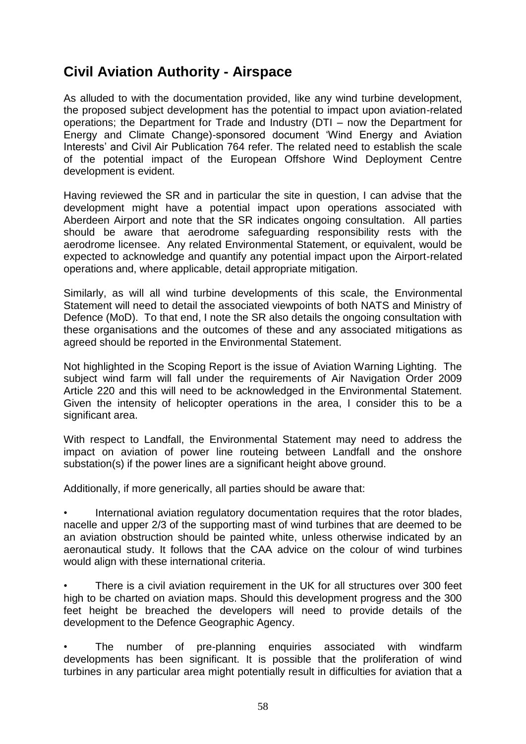# **Civil Aviation Authority - Airspace**

As alluded to with the documentation provided, like any wind turbine development, the proposed subject development has the potential to impact upon aviation-related operations; the Department for Trade and Industry (DTI – now the Department for Energy and Climate Change)-sponsored document "Wind Energy and Aviation Interests' and Civil Air Publication 764 refer. The related need to establish the scale of the potential impact of the European Offshore Wind Deployment Centre development is evident.

Having reviewed the SR and in particular the site in question, I can advise that the development might have a potential impact upon operations associated with Aberdeen Airport and note that the SR indicates ongoing consultation. All parties should be aware that aerodrome safeguarding responsibility rests with the aerodrome licensee. Any related Environmental Statement, or equivalent, would be expected to acknowledge and quantify any potential impact upon the Airport-related operations and, where applicable, detail appropriate mitigation.

Similarly, as will all wind turbine developments of this scale, the Environmental Statement will need to detail the associated viewpoints of both NATS and Ministry of Defence (MoD). To that end, I note the SR also details the ongoing consultation with these organisations and the outcomes of these and any associated mitigations as agreed should be reported in the Environmental Statement.

Not highlighted in the Scoping Report is the issue of Aviation Warning Lighting. The subject wind farm will fall under the requirements of Air Navigation Order 2009 Article 220 and this will need to be acknowledged in the Environmental Statement. Given the intensity of helicopter operations in the area, I consider this to be a significant area.

With respect to Landfall, the Environmental Statement may need to address the impact on aviation of power line routeing between Landfall and the onshore substation(s) if the power lines are a significant height above ground.

Additionally, if more generically, all parties should be aware that:

• International aviation regulatory documentation requires that the rotor blades, nacelle and upper 2/3 of the supporting mast of wind turbines that are deemed to be an aviation obstruction should be painted white, unless otherwise indicated by an aeronautical study. It follows that the CAA advice on the colour of wind turbines would align with these international criteria.

There is a civil aviation requirement in the UK for all structures over 300 feet high to be charted on aviation maps. Should this development progress and the 300 feet height be breached the developers will need to provide details of the development to the Defence Geographic Agency.

The number of pre-planning enquiries associated with windfarm developments has been significant. It is possible that the proliferation of wind turbines in any particular area might potentially result in difficulties for aviation that a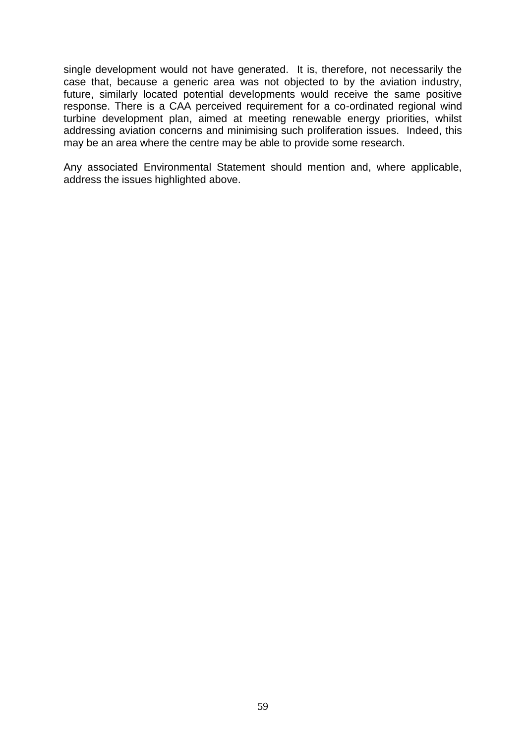single development would not have generated. It is, therefore, not necessarily the case that, because a generic area was not objected to by the aviation industry, future, similarly located potential developments would receive the same positive response. There is a CAA perceived requirement for a co-ordinated regional wind turbine development plan, aimed at meeting renewable energy priorities, whilst addressing aviation concerns and minimising such proliferation issues. Indeed, this may be an area where the centre may be able to provide some research.

Any associated Environmental Statement should mention and, where applicable, address the issues highlighted above.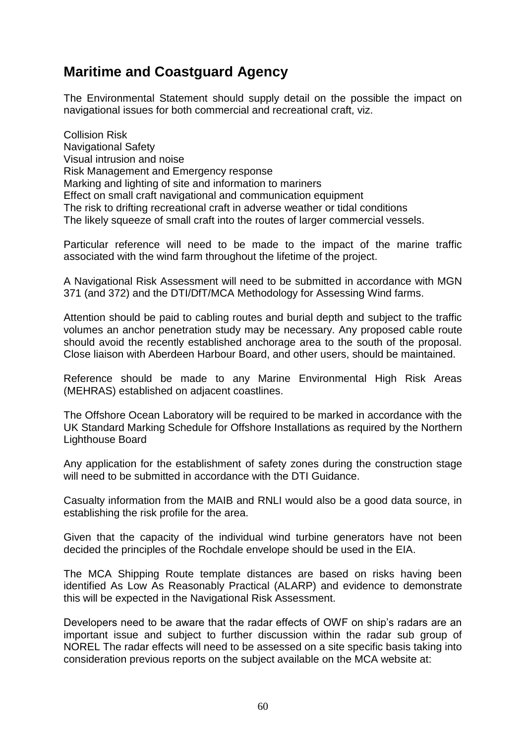# **Maritime and Coastguard Agency**

The Environmental Statement should supply detail on the possible the impact on navigational issues for both commercial and recreational craft, viz.

Collision Risk Navigational Safety Visual intrusion and noise Risk Management and Emergency response Marking and lighting of site and information to mariners Effect on small craft navigational and communication equipment The risk to drifting recreational craft in adverse weather or tidal conditions The likely squeeze of small craft into the routes of larger commercial vessels.

Particular reference will need to be made to the impact of the marine traffic associated with the wind farm throughout the lifetime of the project.

A Navigational Risk Assessment will need to be submitted in accordance with MGN 371 (and 372) and the DTI/DfT/MCA Methodology for Assessing Wind farms.

Attention should be paid to cabling routes and burial depth and subject to the traffic volumes an anchor penetration study may be necessary. Any proposed cable route should avoid the recently established anchorage area to the south of the proposal. Close liaison with Aberdeen Harbour Board, and other users, should be maintained.

Reference should be made to any Marine Environmental High Risk Areas (MEHRAS) established on adjacent coastlines.

The Offshore Ocean Laboratory will be required to be marked in accordance with the UK Standard Marking Schedule for Offshore Installations as required by the Northern Lighthouse Board

Any application for the establishment of safety zones during the construction stage will need to be submitted in accordance with the DTI Guidance.

Casualty information from the MAIB and RNLI would also be a good data source, in establishing the risk profile for the area.

Given that the capacity of the individual wind turbine generators have not been decided the principles of the Rochdale envelope should be used in the EIA.

The MCA Shipping Route template distances are based on risks having been identified As Low As Reasonably Practical (ALARP) and evidence to demonstrate this will be expected in the Navigational Risk Assessment.

Developers need to be aware that the radar effects of OWF on ship's radars are an important issue and subject to further discussion within the radar sub group of NOREL The radar effects will need to be assessed on a site specific basis taking into consideration previous reports on the subject available on the MCA website at: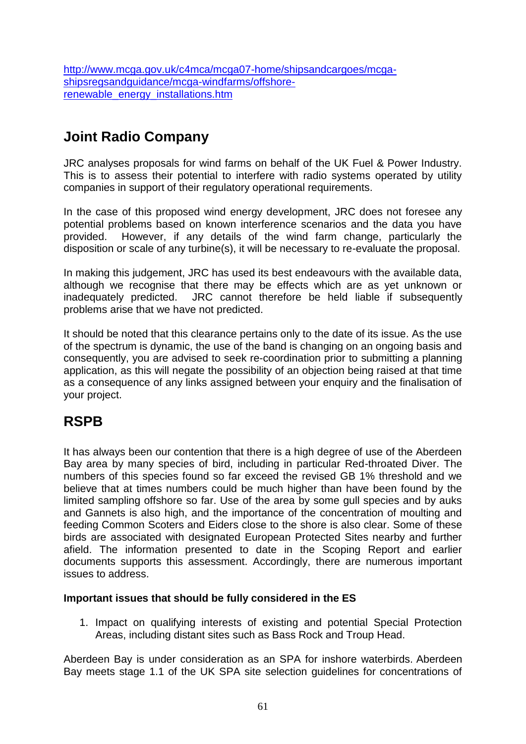[http://www.mcga.gov.uk/c4mca/mcga07-home/shipsandcargoes/mcga](http://www.mcga.gov.uk/c4mca/mcga07-home/shipsandcargoes/mcga-shipsregsandguidance/mcga-windfarms/offshore-renewable_energy_installations.htm)[shipsregsandguidance/mcga-windfarms/offshore](http://www.mcga.gov.uk/c4mca/mcga07-home/shipsandcargoes/mcga-shipsregsandguidance/mcga-windfarms/offshore-renewable_energy_installations.htm)[renewable\\_energy\\_installations.htm](http://www.mcga.gov.uk/c4mca/mcga07-home/shipsandcargoes/mcga-shipsregsandguidance/mcga-windfarms/offshore-renewable_energy_installations.htm)

# **Joint Radio Company**

JRC analyses proposals for wind farms on behalf of the UK Fuel & Power Industry. This is to assess their potential to interfere with radio systems operated by utility companies in support of their regulatory operational requirements.

In the case of this proposed wind energy development, JRC does not foresee any potential problems based on known interference scenarios and the data you have provided. However, if any details of the wind farm change, particularly the disposition or scale of any turbine(s), it will be necessary to re-evaluate the proposal.

In making this judgement, JRC has used its best endeavours with the available data, although we recognise that there may be effects which are as yet unknown or inadequately predicted. JRC cannot therefore be held liable if subsequently problems arise that we have not predicted.

It should be noted that this clearance pertains only to the date of its issue. As the use of the spectrum is dynamic, the use of the band is changing on an ongoing basis and consequently, you are advised to seek re-coordination prior to submitting a planning application, as this will negate the possibility of an objection being raised at that time as a consequence of any links assigned between your enquiry and the finalisation of your project.

# **RSPB**

It has always been our contention that there is a high degree of use of the Aberdeen Bay area by many species of bird, including in particular Red-throated Diver. The numbers of this species found so far exceed the revised GB 1% threshold and we believe that at times numbers could be much higher than have been found by the limited sampling offshore so far. Use of the area by some gull species and by auks and Gannets is also high, and the importance of the concentration of moulting and feeding Common Scoters and Eiders close to the shore is also clear. Some of these birds are associated with designated European Protected Sites nearby and further afield. The information presented to date in the Scoping Report and earlier documents supports this assessment. Accordingly, there are numerous important issues to address.

# **Important issues that should be fully considered in the ES**

1. Impact on qualifying interests of existing and potential Special Protection Areas, including distant sites such as Bass Rock and Troup Head.

Aberdeen Bay is under consideration as an SPA for inshore waterbirds. Aberdeen Bay meets stage 1.1 of the UK SPA site selection guidelines for concentrations of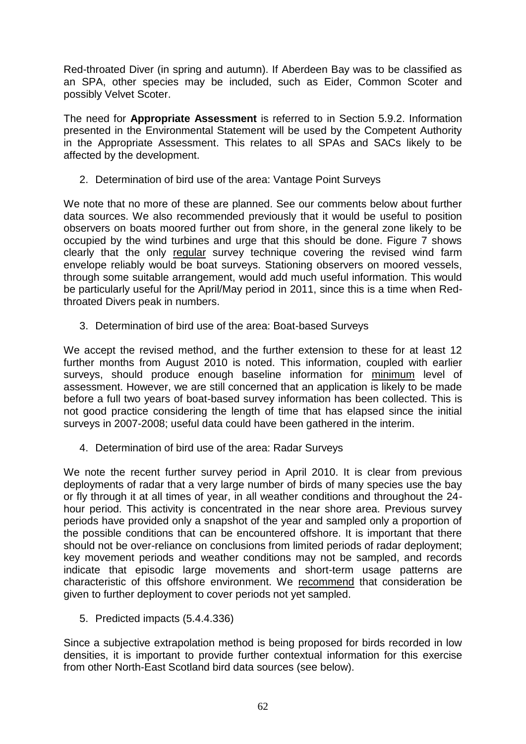Red-throated Diver (in spring and autumn). If Aberdeen Bay was to be classified as an SPA, other species may be included, such as Eider, Common Scoter and possibly Velvet Scoter.

The need for **Appropriate Assessment** is referred to in Section 5.9.2. Information presented in the Environmental Statement will be used by the Competent Authority in the Appropriate Assessment. This relates to all SPAs and SACs likely to be affected by the development.

2. Determination of bird use of the area: Vantage Point Surveys

We note that no more of these are planned. See our comments below about further data sources. We also recommended previously that it would be useful to position observers on boats moored further out from shore, in the general zone likely to be occupied by the wind turbines and urge that this should be done. Figure 7 shows clearly that the only regular survey technique covering the revised wind farm envelope reliably would be boat surveys. Stationing observers on moored vessels, through some suitable arrangement, would add much useful information. This would be particularly useful for the April/May period in 2011, since this is a time when Redthroated Divers peak in numbers.

3. Determination of bird use of the area: Boat-based Surveys

We accept the revised method, and the further extension to these for at least 12 further months from August 2010 is noted. This information, coupled with earlier surveys, should produce enough baseline information for minimum level of assessment. However, we are still concerned that an application is likely to be made before a full two years of boat-based survey information has been collected. This is not good practice considering the length of time that has elapsed since the initial surveys in 2007-2008; useful data could have been gathered in the interim.

4. Determination of bird use of the area: Radar Surveys

We note the recent further survey period in April 2010. It is clear from previous deployments of radar that a very large number of birds of many species use the bay or fly through it at all times of year, in all weather conditions and throughout the 24 hour period. This activity is concentrated in the near shore area. Previous survey periods have provided only a snapshot of the year and sampled only a proportion of the possible conditions that can be encountered offshore. It is important that there should not be over-reliance on conclusions from limited periods of radar deployment; key movement periods and weather conditions may not be sampled, and records indicate that episodic large movements and short-term usage patterns are characteristic of this offshore environment. We recommend that consideration be given to further deployment to cover periods not yet sampled.

5. Predicted impacts (5.4.4.336)

Since a subjective extrapolation method is being proposed for birds recorded in low densities, it is important to provide further contextual information for this exercise from other North-East Scotland bird data sources (see below).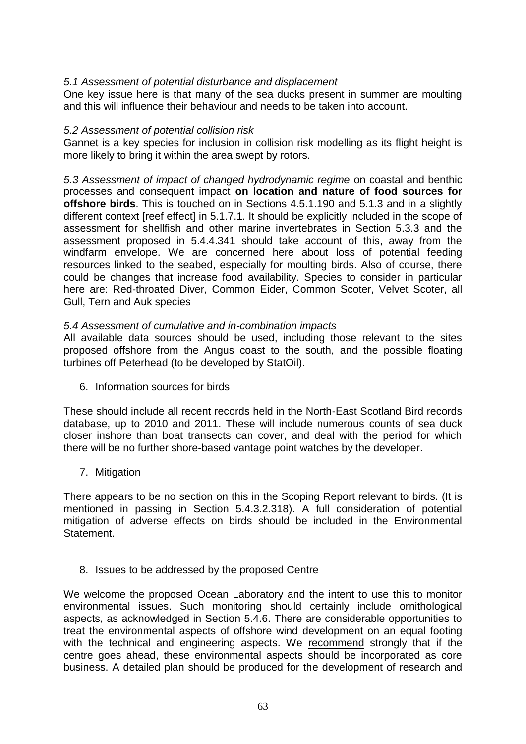# *5.1 Assessment of potential disturbance and displacement*

One key issue here is that many of the sea ducks present in summer are moulting and this will influence their behaviour and needs to be taken into account.

## *5.2 Assessment of potential collision risk*

Gannet is a key species for inclusion in collision risk modelling as its flight height is more likely to bring it within the area swept by rotors.

*5.3 Assessment of impact of changed hydrodynamic regime* on coastal and benthic processes and consequent impact **on location and nature of food sources for offshore birds**. This is touched on in Sections 4.5.1.190 and 5.1.3 and in a slightly different context [reef effect] in 5.1.7.1. It should be explicitly included in the scope of assessment for shellfish and other marine invertebrates in Section 5.3.3 and the assessment proposed in 5.4.4.341 should take account of this, away from the windfarm envelope. We are concerned here about loss of potential feeding resources linked to the seabed, especially for moulting birds. Also of course, there could be changes that increase food availability. Species to consider in particular here are: Red-throated Diver, Common Eider, Common Scoter, Velvet Scoter, all Gull, Tern and Auk species

## *5.4 Assessment of cumulative and in-combination impacts*

All available data sources should be used, including those relevant to the sites proposed offshore from the Angus coast to the south, and the possible floating turbines off Peterhead (to be developed by StatOil).

6. Information sources for birds

These should include all recent records held in the North-East Scotland Bird records database, up to 2010 and 2011. These will include numerous counts of sea duck closer inshore than boat transects can cover, and deal with the period for which there will be no further shore-based vantage point watches by the developer.

7. Mitigation

There appears to be no section on this in the Scoping Report relevant to birds. (It is mentioned in passing in Section 5.4.3.2.318). A full consideration of potential mitigation of adverse effects on birds should be included in the Environmental Statement.

8. Issues to be addressed by the proposed Centre

We welcome the proposed Ocean Laboratory and the intent to use this to monitor environmental issues. Such monitoring should certainly include ornithological aspects, as acknowledged in Section 5.4.6. There are considerable opportunities to treat the environmental aspects of offshore wind development on an equal footing with the technical and engineering aspects. We recommend strongly that if the centre goes ahead, these environmental aspects should be incorporated as core business. A detailed plan should be produced for the development of research and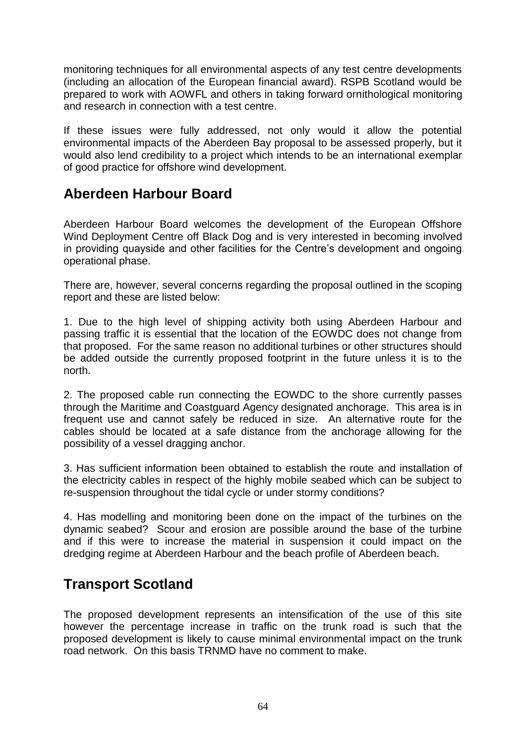monitoring techniques for all environmental aspects of any test centre developments (including an allocation of the European financial award). RSPB Scotland would be prepared to work with AOWFL and others in taking forward ornithological monitoring and research in connection with a test centre.

If these issues were fully addressed, not only would it allow the potential environmental impacts of the Aberdeen Bay proposal to be assessed properly, but it would also lend credibility to a project which intends to be an international exemplar of good practice for offshore wind development.

# **Aberdeen Harbour Board**

Aberdeen Harbour Board welcomes the development of the European Offshore Wind Deployment Centre off Black Dog and is very interested in becoming involved in providing quayside and other facilities for the Centre"s development and ongoing operational phase.

There are, however, several concerns regarding the proposal outlined in the scoping report and these are listed below:

1. Due to the high level of shipping activity both using Aberdeen Harbour and passing traffic it is essential that the location of the EOWDC does not change from that proposed. For the same reason no additional turbines or other structures should be added outside the currently proposed footprint in the future unless it is to the north.

2. The proposed cable run connecting the EOWDC to the shore currently passes through the Maritime and Coastguard Agency designated anchorage. This area is in frequent use and cannot safely be reduced in size. An alternative route for the cables should be located at a safe distance from the anchorage allowing for the possibility of a vessel dragging anchor.

3. Has sufficient information been obtained to establish the route and installation of the electricity cables in respect of the highly mobile seabed which can be subject to re-suspension throughout the tidal cycle or under stormy conditions?

4. Has modelling and monitoring been done on the impact of the turbines on the dynamic seabed? Scour and erosion are possible around the base of the turbine and if this were to increase the material in suspension it could impact on the dredging regime at Aberdeen Harbour and the beach profile of Aberdeen beach.

# **Transport Scotland**

The proposed development represents an intensification of the use of this site however the percentage increase in traffic on the trunk road is such that the proposed development is likely to cause minimal environmental impact on the trunk road network. On this basis TRNMD have no comment to make.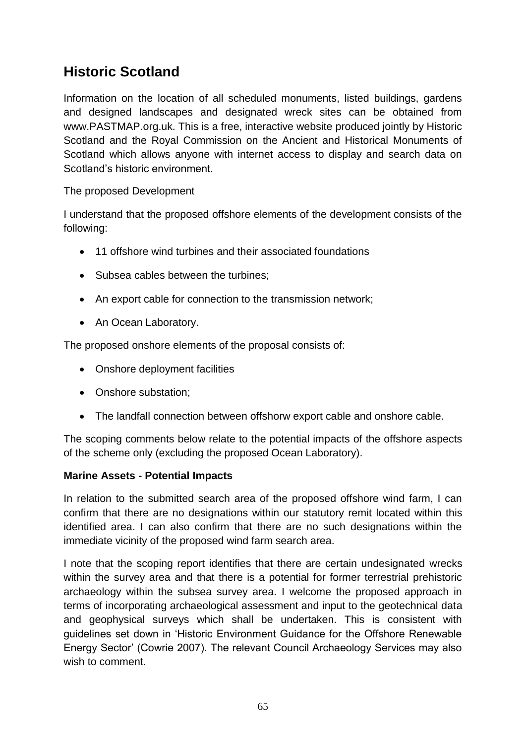# **Historic Scotland**

Information on the location of all scheduled monuments, listed buildings, gardens and designed landscapes and designated wreck sites can be obtained from www.PASTMAP.org.uk. This is a free, interactive website produced jointly by Historic Scotland and the Royal Commission on the Ancient and Historical Monuments of Scotland which allows anyone with internet access to display and search data on Scotland"s historic environment.

The proposed Development

I understand that the proposed offshore elements of the development consists of the following:

- 11 offshore wind turbines and their associated foundations
- Subsea cables between the turbines;
- An export cable for connection to the transmission network;
- An Ocean Laboratory.

The proposed onshore elements of the proposal consists of:

- Onshore deployment facilities
- Onshore substation;
- The landfall connection between offshorw export cable and onshore cable.

The scoping comments below relate to the potential impacts of the offshore aspects of the scheme only (excluding the proposed Ocean Laboratory).

# **Marine Assets - Potential Impacts**

In relation to the submitted search area of the proposed offshore wind farm, I can confirm that there are no designations within our statutory remit located within this identified area. I can also confirm that there are no such designations within the immediate vicinity of the proposed wind farm search area.

I note that the scoping report identifies that there are certain undesignated wrecks within the survey area and that there is a potential for former terrestrial prehistoric archaeology within the subsea survey area. I welcome the proposed approach in terms of incorporating archaeological assessment and input to the geotechnical data and geophysical surveys which shall be undertaken. This is consistent with guidelines set down in "Historic Environment Guidance for the Offshore Renewable Energy Sector" (Cowrie 2007). The relevant Council Archaeology Services may also wish to comment.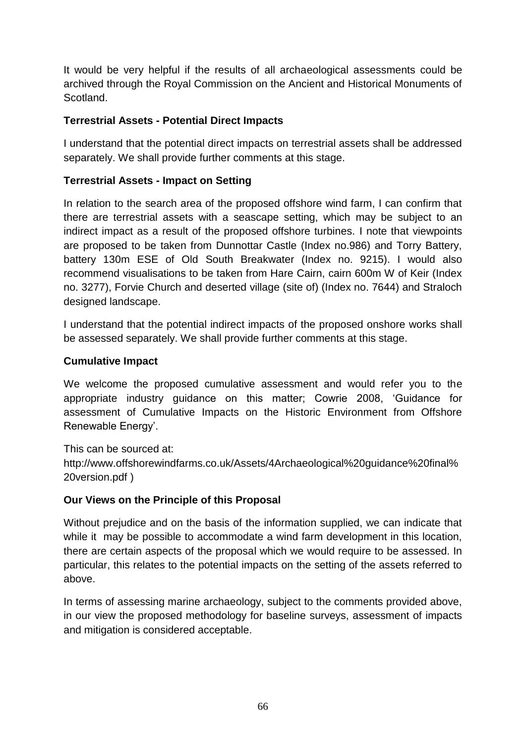It would be very helpful if the results of all archaeological assessments could be archived through the Royal Commission on the Ancient and Historical Monuments of Scotland.

# **Terrestrial Assets - Potential Direct Impacts**

I understand that the potential direct impacts on terrestrial assets shall be addressed separately. We shall provide further comments at this stage.

# **Terrestrial Assets - Impact on Setting**

In relation to the search area of the proposed offshore wind farm, I can confirm that there are terrestrial assets with a seascape setting, which may be subject to an indirect impact as a result of the proposed offshore turbines. I note that viewpoints are proposed to be taken from Dunnottar Castle (Index no.986) and Torry Battery, battery 130m ESE of Old South Breakwater (Index no. 9215). I would also recommend visualisations to be taken from Hare Cairn, cairn 600m W of Keir (Index no. 3277), Forvie Church and deserted village (site of) (Index no. 7644) and Straloch designed landscape.

I understand that the potential indirect impacts of the proposed onshore works shall be assessed separately. We shall provide further comments at this stage.

# **Cumulative Impact**

We welcome the proposed cumulative assessment and would refer you to the appropriate industry guidance on this matter; Cowrie 2008, "Guidance for assessment of Cumulative Impacts on the Historic Environment from Offshore Renewable Energy'.

This can be sourced at: http://www.offshorewindfarms.co.uk/Assets/4Archaeological%20guidance%20final% 20version.pdf )

# **Our Views on the Principle of this Proposal**

Without prejudice and on the basis of the information supplied, we can indicate that while it may be possible to accommodate a wind farm development in this location, there are certain aspects of the proposal which we would require to be assessed. In particular, this relates to the potential impacts on the setting of the assets referred to above.

In terms of assessing marine archaeology, subject to the comments provided above, in our view the proposed methodology for baseline surveys, assessment of impacts and mitigation is considered acceptable.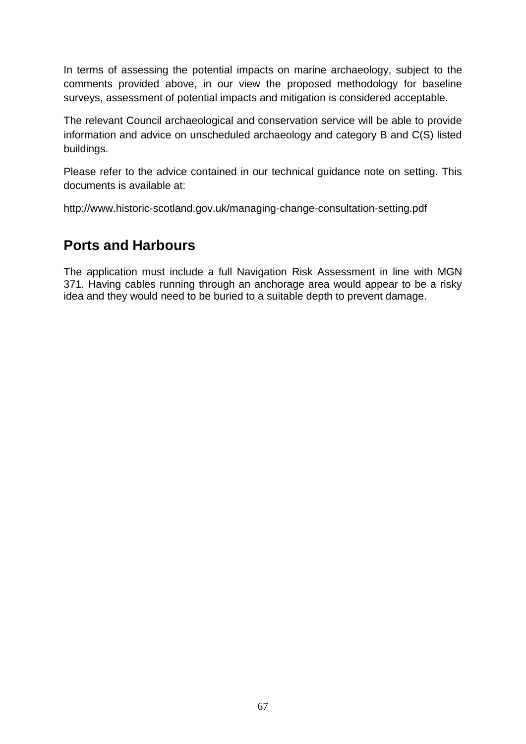In terms of assessing the potential impacts on marine archaeology, subject to the comments provided above, in our view the proposed methodology for baseline surveys, assessment of potential impacts and mitigation is considered acceptable.

The relevant Council archaeological and conservation service will be able to provide information and advice on unscheduled archaeology and category B and C(S) listed buildings.

Please refer to the advice contained in our technical guidance note on setting. This documents is available at:

http://www.historic-scotland.gov.uk/managing-change-consultation-setting.pdf

# **Ports and Harbours**

The application must include a full Navigation Risk Assessment in line with MGN 371. Having cables running through an anchorage area would appear to be a risky idea and they would need to be buried to a suitable depth to prevent damage.